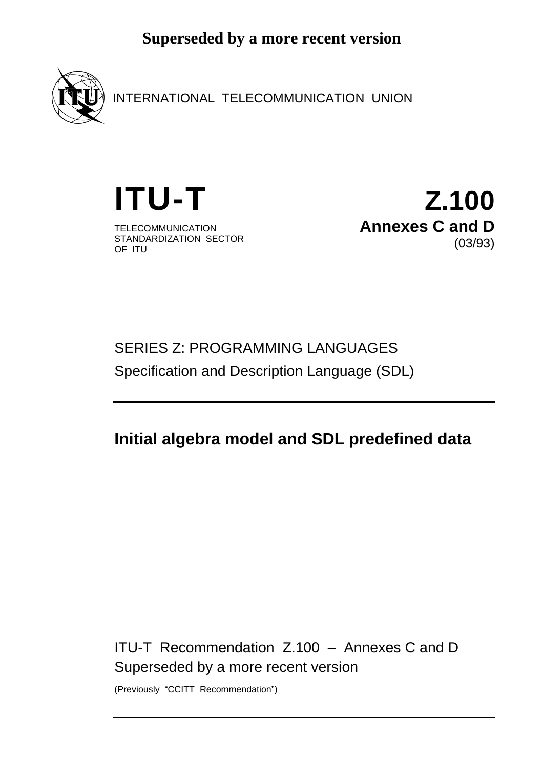

INTERNATIONAL TELECOMMUNICATION UNION

TELECOMMUNICATION STANDARDIZATION SECTOR OF ITU

**ITU-T Z.100 Annexes C and D** (03/93)

# SERIES Z: PROGRAMMING LANGUAGES Specification and Description Language (SDL)

# **Initial algebra model and SDL predefined data**

ITU-T Recommendation Z.100 – Annexes C and D Superseded by a more recent version

(Previously "CCITT Recommendation")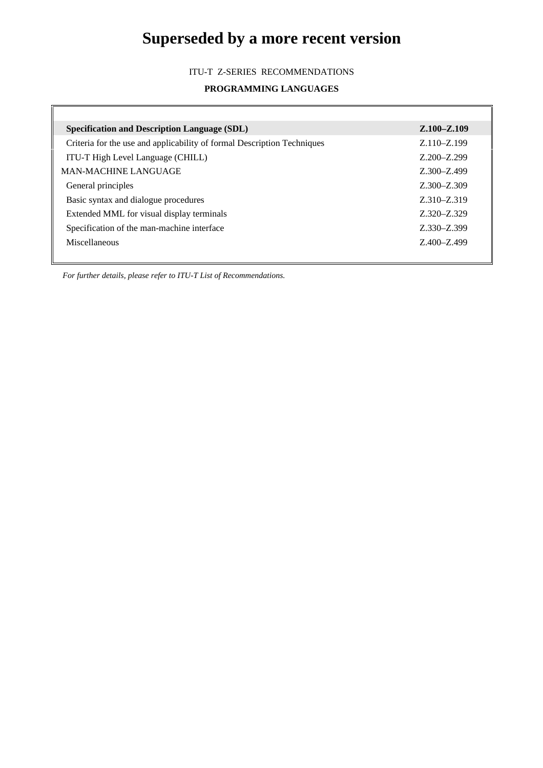#### ITU-T Z-SERIES RECOMMENDATIONS

#### **PROGRAMMING LANGUAGES**

 $\overline{\mathbf{u}}$ 

| <b>Specification and Description Language (SDL)</b>                     | $Z.100 - Z.109$ |
|-------------------------------------------------------------------------|-----------------|
| Criteria for the use and applicability of formal Description Techniques | Z.110-Z.199     |
| ITU-T High Level Language (CHILL)                                       | $Z.200 - Z.299$ |
| <b>MAN-MACHINE LANGUAGE</b>                                             | Z.300-Z.499     |
| General principles                                                      | $Z.300 - Z.309$ |
| Basic syntax and dialogue procedures                                    | Z.310-Z.319     |
| Extended MML for visual display terminals                               | Z.320-Z.329     |
| Specification of the man-machine interface                              | Z.330-Z.399     |
| Miscellaneous                                                           | Z.400-Z.499     |
|                                                                         |                 |

*For further details, please refer to ITU-T List of Recommendations.*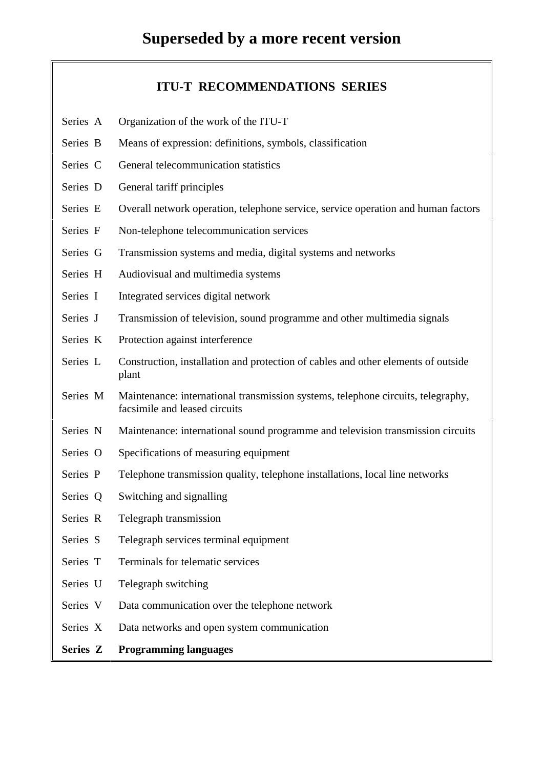### **ITU-T RECOMMENDATIONS SERIES**

- Series A Organization of the work of the ITU-T
- Series B Means of expression: definitions, symbols, classification
- Series C General telecommunication statistics
- Series D General tariff principles
- Series E Overall network operation, telephone service, service operation and human factors
- Series F Non-telephone telecommunication services
- Series G Transmission systems and media, digital systems and networks
- Series H Audiovisual and multimedia systems
- Series I Integrated services digital network
- Series J Transmission of television, sound programme and other multimedia signals
- Series K Protection against interference
- Series L Construction, installation and protection of cables and other elements of outside plant
- Series M Maintenance: international transmission systems, telephone circuits, telegraphy, facsimile and leased circuits
- Series N Maintenance: international sound programme and television transmission circuits
- Series O Specifications of measuring equipment
- Series P Telephone transmission quality, telephone installations, local line networks
- Series Q Switching and signalling
- Series R Telegraph transmission
- Series S Telegraph services terminal equipment
- Series T Terminals for telematic services
- Series U Telegraph switching
- Series V Data communication over the telephone network
- Series X Data networks and open system communication

### **Series Z Programming languages**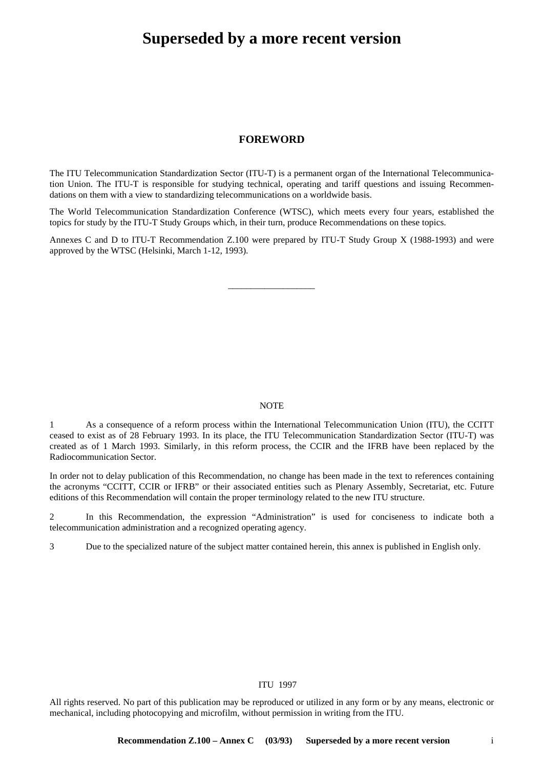#### **FOREWORD**

The ITU Telecommunication Standardization Sector (ITU-T) is a permanent organ of the International Telecommunication Union. The ITU-T is responsible for studying technical, operating and tariff questions and issuing Recommendations on them with a view to standardizing telecommunications on a worldwide basis.

The World Telecommunication Standardization Conference (WTSC), which meets every four years, established the topics for study by the ITU-T Study Groups which, in their turn, produce Recommendations on these topics.

Annexes C and D to ITU-T Recommendation Z.100 were prepared by ITU-T Study Group X (1988-1993) and were approved by the WTSC (Helsinki, March 1-12, 1993).

\_\_\_\_\_\_\_\_\_\_\_\_\_\_\_\_\_\_\_

#### **NOTE**

1 As a consequence of a reform process within the International Telecommunication Union (ITU), the CCITT ceased to exist as of 28 February 1993. In its place, the ITU Telecommunication Standardization Sector (ITU-T) was created as of 1 March 1993. Similarly, in this reform process, the CCIR and the IFRB have been replaced by the Radiocommunication Sector.

In order not to delay publication of this Recommendation, no change has been made in the text to references containing the acronyms "CCITT, CCIR or IFRB" or their associated entities such as Plenary Assembly, Secretariat, etc. Future editions of this Recommendation will contain the proper terminology related to the new ITU structure.

2 In this Recommendation, the expression "Administration" is used for conciseness to indicate both a telecommunication administration and a recognized operating agency.

3 Due to the specialized nature of the subject matter contained herein, this annex is published in English only.

#### © ITU 1997

All rights reserved. No part of this publication may be reproduced or utilized in any form or by any means, electronic or mechanical, including photocopying and microfilm, without permission in writing from the ITU.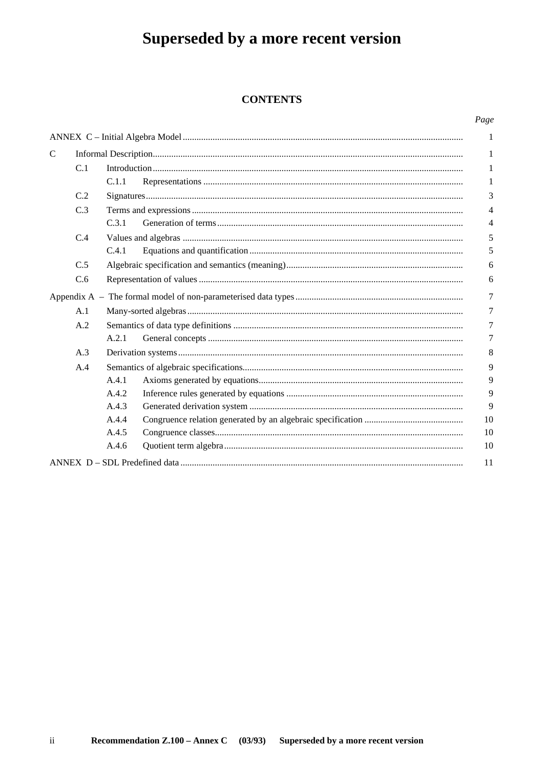### **CONTENTS**

#### Page

|   |     |       |  | 1  |  |  |  |  |
|---|-----|-------|--|----|--|--|--|--|
| C |     |       |  | 1  |  |  |  |  |
|   | C.1 |       |  | 1  |  |  |  |  |
|   |     | C.1.1 |  | 1  |  |  |  |  |
|   | C.2 |       |  | 3  |  |  |  |  |
|   | C.3 |       |  | 4  |  |  |  |  |
|   |     | C.3.1 |  | 4  |  |  |  |  |
|   | C.4 |       |  | 5  |  |  |  |  |
|   |     | C.4.1 |  | 5  |  |  |  |  |
|   | C.5 |       |  | 6  |  |  |  |  |
|   | C.6 |       |  | 6  |  |  |  |  |
|   |     |       |  | 7  |  |  |  |  |
|   | A.1 |       |  |    |  |  |  |  |
|   | A.2 |       |  | 7  |  |  |  |  |
|   |     | A.2.1 |  | 7  |  |  |  |  |
|   | A.3 |       |  | 8  |  |  |  |  |
|   | A.4 |       |  | 9  |  |  |  |  |
|   |     | A.4.1 |  | 9  |  |  |  |  |
|   |     | A.4.2 |  | 9  |  |  |  |  |
|   |     | A.4.3 |  | 9  |  |  |  |  |
|   |     | A.4.4 |  | 10 |  |  |  |  |
|   |     | A.4.5 |  | 10 |  |  |  |  |
|   |     | A.4.6 |  | 10 |  |  |  |  |
|   |     |       |  | 11 |  |  |  |  |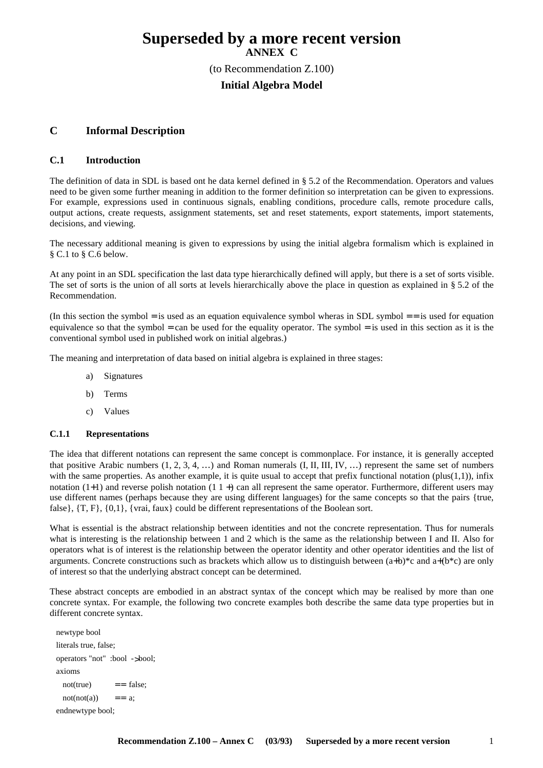### **Superseded by a more recent version ANNEX C** (to Recommendation Z.100) **Initial Algebra Model**

#### **C Informal Description**

#### **C.1 Introduction**

The definition of data in SDL is based ont he data kernel defined in § 5.2 of the Recommendation. Operators and values need to be given some further meaning in addition to the former definition so interpretation can be given to expressions. For example, expressions used in continuous signals, enabling conditions, procedure calls, remote procedure calls, output actions, create requests, assignment statements, set and reset statements, export statements, import statements, decisions, and viewing.

The necessary additional meaning is given to expressions by using the initial algebra formalism which is explained in § C.1 to § C.6 below.

At any point in an SDL specification the last data type hierarchically defined will apply, but there is a set of sorts visible. The set of sorts is the union of all sorts at levels hierarchically above the place in question as explained in § 5.2 of the Recommendation.

(In this section the symbol = is used as an equation equivalence symbol wheras in SDL symbol =  $=$  is used for equation equivalence so that the symbol = can be used for the equality operator. The symbol = is used in this section as it is the conventional symbol used in published work on initial algebras.)

The meaning and interpretation of data based on initial algebra is explained in three stages:

- a) Signatures
- b) Terms
- c) Values

#### **C.1.1 Representations**

The idea that different notations can represent the same concept is commonplace. For instance, it is generally accepted that positive Arabic numbers  $(1, 2, 3, 4, ...)$  and Roman numerals  $(I, II, III, IV, ...)$  represent the same set of numbers with the same properties. As another example, it is quite usual to accept that prefix functional notation (plus $(1,1)$ ), infix notation  $(1+1)$  and reverse polish notation  $(1 \ 1 +)$  can all represent the same operator. Furthermore, different users may use different names (perhaps because they are using different languages) for the same concepts so that the pairs {true, false}, {T, F}, {0,1}, {vrai, faux} could be different representations of the Boolean sort.

What is essential is the abstract relationship between identities and not the concrete representation. Thus for numerals what is interesting is the relationship between 1 and 2 which is the same as the relationship between I and II. Also for operators what is of interest is the relationship between the operator identity and other operator identities and the list of arguments. Concrete constructions such as brackets which allow us to distinguish between  $(a+b)*c$  and  $a+(b)*c$  are only of interest so that the underlying abstract concept can be determined.

These abstract concepts are embodied in an abstract syntax of the concept which may be realised by more than one concrete syntax. For example, the following two concrete examples both describe the same data type properties but in different concrete syntax.

```
newtype bool
literals true, false;
operators "not" :bool ->bool;
axioms
 not(true) == false;
 not(not(a)) == a;
endnewtype bool;
```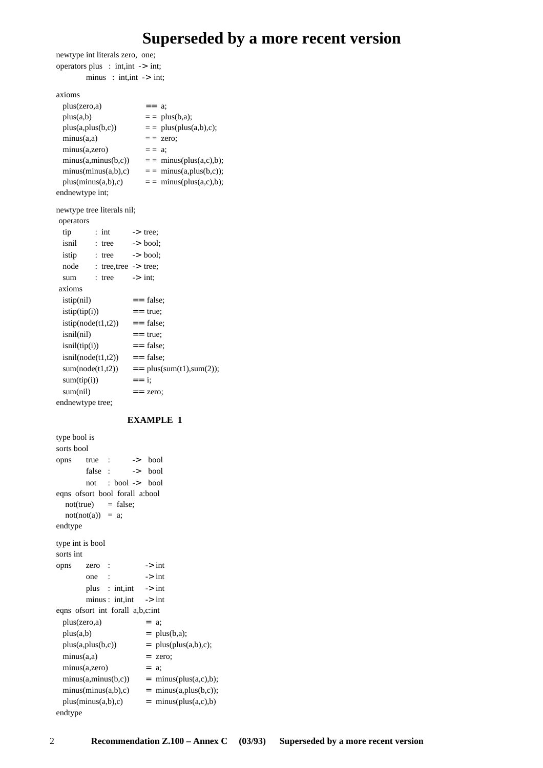newtype int literals zero, one; operators plus : int,int -> int;  $minus : int.int \rightarrow int$ : axioms  $plus(zero,a)$  == a;  $plus(a,b)$  = =  $plus(b,a);$  $plus(a, plus(b, c))$  = = plus(plus(a,b),c);  $minus(a,a)$  = zero; minus(a,zero)  $=$   $=$  a;  $minus(a,minus(b, c))$  = = minus(plus(a,c),b);  $minus(minus(a,b),c)$  = =  $minus(a,plus(b,c))$ ;  $plus(minus(a,b),c)$  = = minus( $plus(a,c),b)$ ; endnewtype int; newtype tree literals nil; operators tip : int -> tree; isnil : tree -> bool; istip : tree -> bool; node : tree,tree -> tree; sum : tree  $\rightarrow$  int; axioms  $\text{istip(nil)} \quad == \text{false};$  $istip(tip(i))$  == true;  $istip(node(t1,t2))$  == false;  $\text{isnil}(\text{nil})$  == true;  $\text{isnil}(\text{tip}(i))$  == false;  $isnil(node(t1,t2))$  == false;  $sum(node(t1,t2))$  = plus(sum(t1),sum(2));  $sum(tip(i))$  == i;  $sum(nil)$  = zero;

#### **EXAMPLE 1**

endnewtype tree;

```
type bool is
sorts bool
opns true : -> bool
       false : -> bool
       not : bool -> bool
eqns ofsort bool forall a:bool
  not(true) = false;
  not(not(a)) = a;endtype
type int is bool
sorts int
opns zero : -> int
       one : \rightarrow int
       plus : int,int -> int
       minus : int, int -> int
eqns ofsort int forall a,b,c:int
 plus(zero,a) = a;
 plus(a,b) = plus(b,a);plus(a, plus(b, c)) = plus(plus(a, b), c);minus(a,a) = zero;
 minus(a,zero) = a;
 minus(a,minus(b, c)) = minus(plus(a, c), b);minus(minus(a,b),c) = minus(a,plus(b,c));
 plus(minus(a,b),c) = minus(plus(a,c),b)
```

```
endtype
```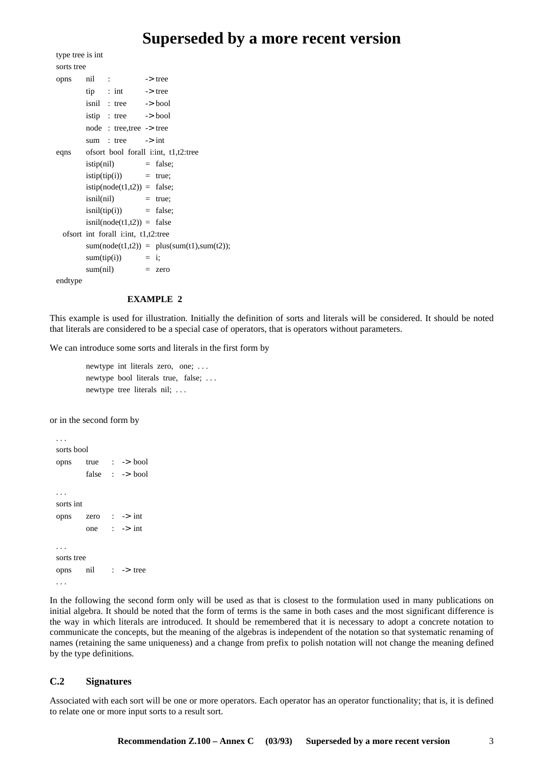```
type tree is int
sorts tree
opns nil : -> tree
       tip : int \rightarrow tree
       isnil : tree -> bool
       istip : tree -> bool
       node : tree,tree -> tree
        sum : tree \rightarrow int
eqns ofsort bool forall i:int, t1,t2:tree
       istip(nil) = false;
       istip(tip(i)) = true;
       istip(node(t1,t2)) = false;isnil(nil) = true;
       isnil(iip(i)) = false;
       isnil(node(t1,t2)) = falseofsort int forall i:int, t1,t2:tree
       sum(node(t1,t2)) = plus(sum(t1),sum(t2));
       sum(tip(i)) = i;
       sum(nil) = zero
```
endtype

#### **EXAMPLE 2**

This example is used for illustration. Initially the definition of sorts and literals will be considered. It should be noted that literals are considered to be a special case of operators, that is operators without parameters.

We can introduce some sorts and literals in the first form by

newtype int literals zero, one; . . . newtype bool literals true, false; . . . newtype tree literals nil; . . .

or in the second form by

```
. . .
sorts bool
opns true : -> bool
        false : -> bool
. . .
sorts int
opns zero : -> int
        one : \rightarrow int
. . .
sorts tree
opns nil : -> tree
. . .
```
In the following the second form only will be used as that is closest to the formulation used in many publications on initial algebra. It should be noted that the form of terms is the same in both cases and the most significant difference is the way in which literals are introduced. It should be remembered that it is necessary to adopt a concrete notation to communicate the concepts, but the meaning of the algebras is independent of the notation so that systematic renaming of names (retaining the same uniqueness) and a change from prefix to polish notation will not change the meaning defined by the type definitions.

#### **C.2 Signatures**

Associated with each sort will be one or more operators. Each operator has an operator functionality; that is, it is defined to relate one or more input sorts to a result sort.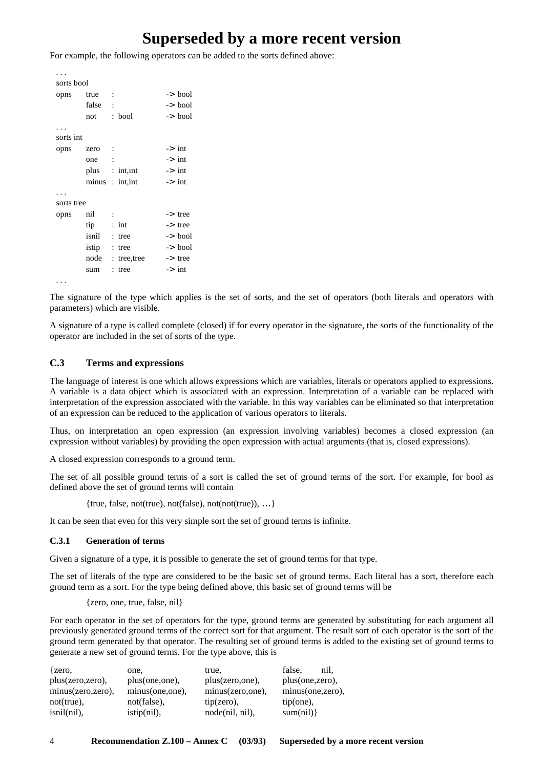For example, the following operators can be added to the sorts defined above:

```
. . .
sorts bool
opns true : -> bool
      false : \rightarrow bool
      not : bool -> bool
. . .
sorts int
opns zero : \rightarrow int
      one : \rightarrow int
      plus : int, int -> int
      minus : int, int \longrightarrow int. . .
sorts tree
opns nil : -> tree
      tip : int -> tree
      isnil : tree -> bool
      istip : tree -> bool
      node : tree, tree -> tree
      sum : tree -> int
. . .
```
The signature of the type which applies is the set of sorts, and the set of operators (both literals and operators with parameters) which are visible.

A signature of a type is called complete (closed) if for every operator in the signature, the sorts of the functionality of the operator are included in the set of sorts of the type.

#### **C.3 Terms and expressions**

The language of interest is one which allows expressions which are variables, literals or operators applied to expressions. A variable is a data object which is associated with an expression. Interpretation of a variable can be replaced with interpretation of the expression associated with the variable. In this way variables can be eliminated so that interpretation of an expression can be reduced to the application of various operators to literals.

Thus, on interpretation an open expression (an expression involving variables) becomes a closed expression (an expression without variables) by providing the open expression with actual arguments (that is, closed expressions).

A closed expression corresponds to a ground term.

The set of all possible ground terms of a sort is called the set of ground terms of the sort. For example, for bool as defined above the set of ground terms will contain

{true, false, not(true), not(false), not(not(true)), …}

It can be seen that even for this very simple sort the set of ground terms is infinite.

#### **C.3.1 Generation of terms**

Given a signature of a type, it is possible to generate the set of ground terms for that type.

The set of literals of the type are considered to be the basic set of ground terms. Each literal has a sort, therefore each ground term as a sort. For the type being defined above, this basic set of ground terms will be

{zero, one, true, false, nil}

For each operator in the set of operators for the type, ground terms are generated by substituting for each argument all previously generated ground terms of the correct sort for that argument. The result sort of each operator is the sort of the ground term generated by that operator. The resulting set of ground terms is added to the existing set of ground terms to generate a new set of ground terms. For the type above, this is

| zero,             | one,             | true,              | false.<br>nil.   |
|-------------------|------------------|--------------------|------------------|
| plus(zero,zero),  | plus(one, one),  | plus(zero,one),    | plus(one, zero), |
| minus(zero,zero), | minus(one, one), | minus(zero,one),   | minus(one,zero), |
| $not(true)$ ,     | not(false),      | $tip(zero)$ ,      | $tip(one)$ ,     |
| isnil(nil),       | $istip(nil)$ ,   | $node(nil, nil)$ , | sum(nil)         |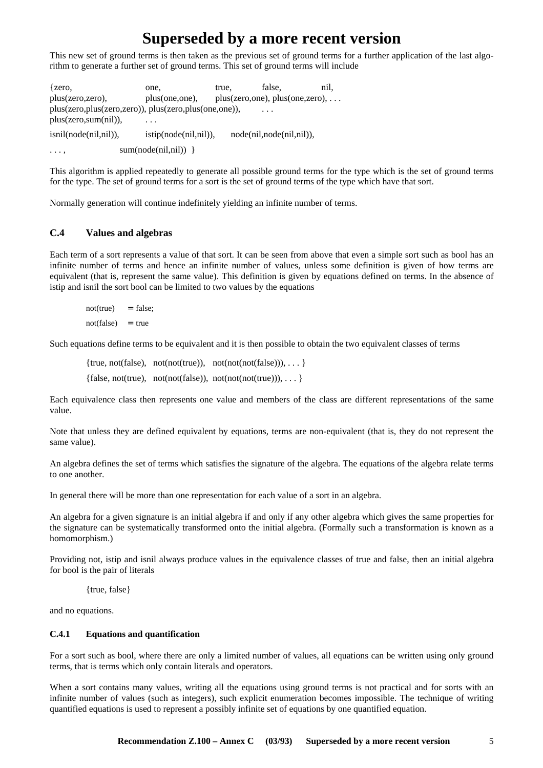This new set of ground terms is then taken as the previous set of ground terms for a further application of the last algorithm to generate a further set of ground terms. This set of ground terms will include

{zero, one, true, false, nil, plus(zero,zero), plus(one,one), plus(zero,one), plus(one,zero), ... plus(zero,plus(zero,zero)), plus(zero,plus(one,one)), plus(zero, sum(nil)), isnil(node(nil,nil)), istip(node(nil,nil)), node(nil,node(nil,nil)),  $\dots$ ,  $sum(node(nil,nil))$  }

This algorithm is applied repeatedly to generate all possible ground terms for the type which is the set of ground terms for the type. The set of ground terms for a sort is the set of ground terms of the type which have that sort.

Normally generation will continue indefinitely yielding an infinite number of terms.

#### **C.4 Values and algebras**

Each term of a sort represents a value of that sort. It can be seen from above that even a simple sort such as bool has an infinite number of terms and hence an infinite number of values, unless some definition is given of how terms are equivalent (that is, represent the same value). This definition is given by equations defined on terms. In the absence of istip and isnil the sort bool can be limited to two values by the equations

 $not(true)$  = false;  $not(false) = true$ 

Such equations define terms to be equivalent and it is then possible to obtain the two equivalent classes of terms

{true, not(false), not(not(true)), not(not(not(false))), ... } {false, not(true), not(not(false)), not(not(not(true))), ... }

Each equivalence class then represents one value and members of the class are different representations of the same value.

Note that unless they are defined equivalent by equations, terms are non-equivalent (that is, they do not represent the same value).

An algebra defines the set of terms which satisfies the signature of the algebra. The equations of the algebra relate terms to one another.

In general there will be more than one representation for each value of a sort in an algebra.

An algebra for a given signature is an initial algebra if and only if any other algebra which gives the same properties for the signature can be systematically transformed onto the initial algebra. (Formally such a transformation is known as a homomorphism.)

Providing not, istip and isnil always produce values in the equivalence classes of true and false, then an initial algebra for bool is the pair of literals

{true, false}

and no equations.

#### **C.4.1 Equations and quantification**

For a sort such as bool, where there are only a limited number of values, all equations can be written using only ground terms, that is terms which only contain literals and operators.

When a sort contains many values, writing all the equations using ground terms is not practical and for sorts with an infinite number of values (such as integers), such explicit enumeration becomes impossible. The technique of writing quantified equations is used to represent a possibly infinite set of equations by one quantified equation.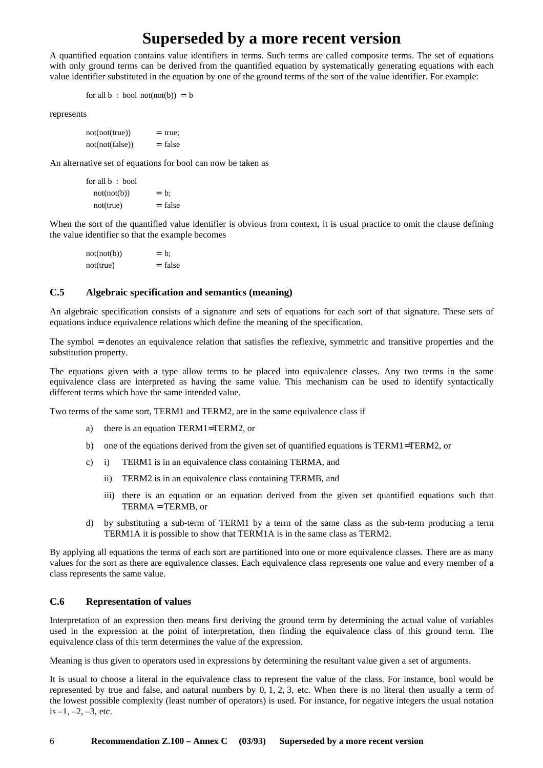A quantified equation contains value identifiers in terms. Such terms are called composite terms. The set of equations with only ground terms can be derived from the quantified equation by systematically generating equations with each value identifier substituted in the equation by one of the ground terms of the sort of the value identifier. For example:

for all  $b : bool \n<sub>not(not(b)) = b</sub>$ </sub>

represents

 $not(not(true))$  = true;  $not(not(false))$  = false

An alternative set of equations for bool can now be taken as

for all b : bool  $not(not(b))$  = b;  $not(true)$  = false

When the sort of the quantified value identifier is obvious from context, it is usual practice to omit the clause defining the value identifier so that the example becomes

| not(not(b)) | $= b$ :   |
|-------------|-----------|
| not(true)   | $=$ false |

#### **C.5 Algebraic specification and semantics (meaning)**

An algebraic specification consists of a signature and sets of equations for each sort of that signature. These sets of equations induce equivalence relations which define the meaning of the specification.

The symbol = denotes an equivalence relation that satisfies the reflexive, symmetric and transitive properties and the substitution property.

The equations given with a type allow terms to be placed into equivalence classes. Any two terms in the same equivalence class are interpreted as having the same value. This mechanism can be used to identify syntactically different terms which have the same intended value.

Two terms of the same sort, TERM1 and TERM2, are in the same equivalence class if

- a) there is an equation TERM1=TERM2, or
- b) one of the equations derived from the given set of quantified equations is TERM1=TERM2, or
- c) i) TERM1 is in an equivalence class containing TERMA, and
	- ii) TERM2 is in an equivalence class containing TERMB, and
	- iii) there is an equation or an equation derived from the given set quantified equations such that TERMA = TERMB, or
- d) by substituting a sub-term of TERM1 by a term of the same class as the sub-term producing a term TERM1A it is possible to show that TERM1A is in the same class as TERM2.

By applying all equations the terms of each sort are partitioned into one or more equivalence classes. There are as many values for the sort as there are equivalence classes. Each equivalence class represents one value and every member of a class represents the same value.

#### **C.6 Representation of values**

Interpretation of an expression then means first deriving the ground term by determining the actual value of variables used in the expression at the point of interpretation, then finding the equivalence class of this ground term. The equivalence class of this term determines the value of the expression.

Meaning is thus given to operators used in expressions by determining the resultant value given a set of arguments.

It is usual to choose a literal in the equivalence class to represent the value of the class. For instance, bool would be represented by true and false, and natural numbers by 0, 1, 2, 3, etc. When there is no literal then usually a term of the lowest possible complexity (least number of operators) is used. For instance, for negative integers the usual notation is  $-1, -2, -3$ , etc.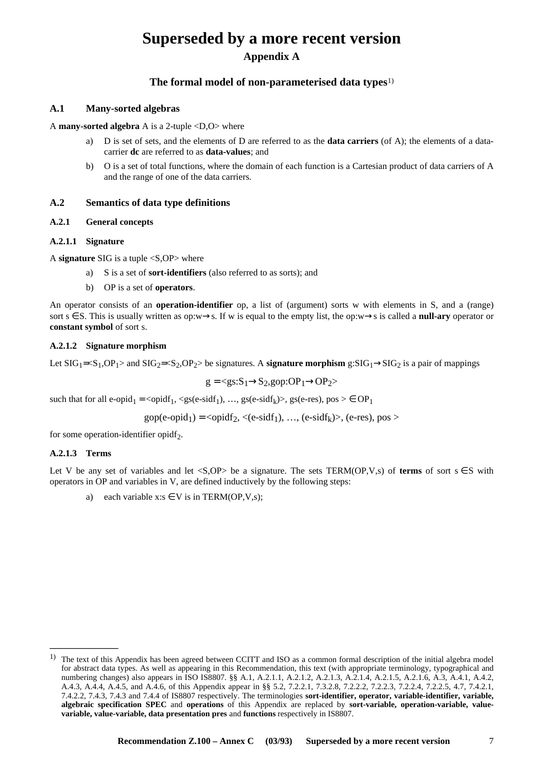# **Superseded by a more recent version Appendix A**

#### **The formal model of non-parameterised data types**1)

#### **A.1 Many-sorted algebras**

A **many-sorted algebra** A is a 2-tuple <D,O> where

- a) D is set of sets, and the elements of D are referred to as the **data carriers** (of A); the elements of a datacarrier **dc** are referred to as **data-values**; and
- b) O is a set of total functions, where the domain of each function is a Cartesian product of data carriers of A and the range of one of the data carriers.

#### **A.2 Semantics of data type definitions**

#### **A.2.1 General concepts**

#### **A.2.1.1 Signature**

A **signature** SIG is a tuple <S,OP> where

- a) S is a set of **sort-identifiers** (also referred to as sorts); and
- b) OP is a set of **operators**.

An operator consists of an **operation-identifier** op, a list of (argument) sorts w with elements in S, and a (range) sort  $s \in S$ . This is usually written as op:w→s. If w is equal to the empty list, the op:w→s is called a **null-ary** operator or **constant symbol** of sort s.

#### **A.2.1.2 Signature morphism**

Let  $\text{SIG}_1 = \leq S_1, \text{OP}_1 >$  and  $\text{SIG}_2 = \leq S_2, \text{OP}_2 >$  be signatures. A **signature morphism** g: $\text{SIG}_1 \rightarrow \text{SIG}_2$  is a pair of mappings

$$
g = \langle gs: S_1 \rightarrow S_2, gop: OP_1 \rightarrow OP_2 \rangle
$$

such that for all e-opid<sub>1</sub> =  $\langle \text{opid}_{1}, \langle \text{gs}(e\text{-sid}_{1}), \dots, \text{gs}(e\text{-sid}_{k}) \rangle$ , gs(e-res), pos  $\rangle \in OP_1$ 

$$
gop(e-opid1) =  $\langle$ opidf<sub>2</sub>,  $\langle$ (e-sidf<sub>1</sub>), ..., (e-sidf<sub>k</sub>) $\rangle$ , (e-res), pos>
$$

for some operation-identifier opidf<sub>2</sub>.

#### **A.2.1.3 Terms**

 $\frac{1}{2}$ 

Let V be any set of variables and let <S,OP> be a signature. The sets TERM(OP,V,s) of **terms** of sort  $s \in S$  with operators in OP and variables in V, are defined inductively by the following steps:

a) each variable  $x:s \in V$  is in TERM(OP, V, s);

<sup>&</sup>lt;sup>1)</sup> The text of this Appendix has been agreed between CCITT and ISO as a common formal description of the initial algebra model for abstract data types. As well as appearing in this Recommendation, this text (with appropriate terminology, typographical and numbering changes) also appears in ISO IS8807. §§ A.1, A.2.1.1, A.2.1.2, A.2.1.3, A.2.1.4, A.2.1.5, A.2.1.6, A.3, A.4.1, A.4.2, A.4.3, A.4.4, A.4.5, and A.4.6, of this Appendix appear in §§ 5.2, 7.2.2.1, 7.3.2.8, 7.2.2.2, 7.2.2.3, 7.2.2.4, 7.2.2.5, 4.7, 7.4.2.1, 7.4.2.2, 7.4.3, 7.4.3 and 7.4.4 of IS8807 respectively. The terminologies **sort-identifier, operator, variable-identifier, variable, algebraic specification SPEC** and **operations** of this Appendix are replaced by **sort-variable, operation-variable, valuevariable, value-variable, data presentation pres** and **functions** respectively in IS8807.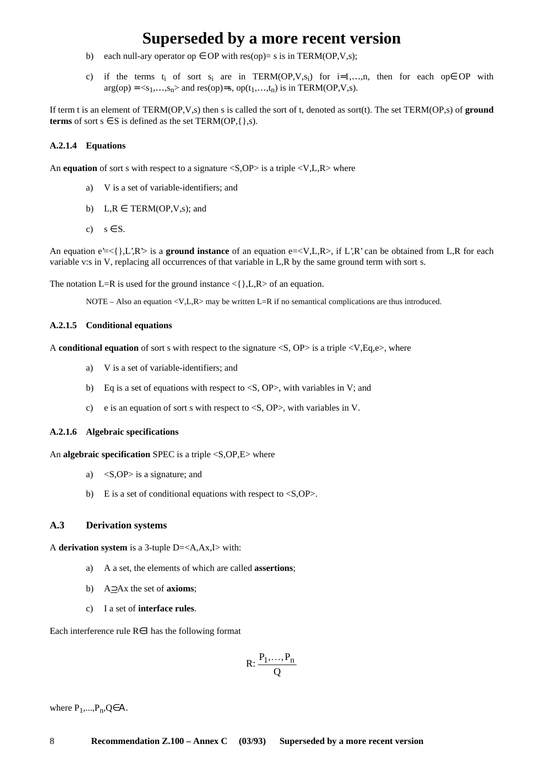- b) each null-ary operator op  $\in$  OP with res(op)= s is in TERM(OP,V,s);
- c) if the terms t<sub>i</sub> of sort s<sub>i</sub> are in TERM(OP,V,s<sub>i</sub>) for i=1,...,n, then for each ope OP with  $arg(op) = \langle s_1, \ldots, s_n \rangle$  and res(op)=s, op( $t_1, \ldots, t_n$ ) is in TERM(OP,V,s).

If term t is an element of TERM(OP,V,s) then s is called the sort of t, denoted as sort(t). The set TERM(OP,s) of **ground terms** of sort  $s \in S$  is defined as the set TERM(OP, $\{\}, s$ ).

#### **A.2.1.4 Equations**

An **equation** of sort s with respect to a signature  $\langle S, \text{OP}\rangle$  is a triple  $\langle V, L, R \rangle$  where

- a) V is a set of variable-identifiers; and
- b)  $L, R \in \text{TERM}(\text{OP}, \text{V}, \text{s})$ ; and
- c)  $s \in S$ .

An equation  $e' = \{ \}, L', R' >$  is a **ground instance** of an equation  $e = \langle V, L, R \rangle$ , if L',R' can be obtained from L,R for each variable v:s in V, replacing all occurrences of that variable in L,R by the same ground term with sort s.

The notation L=R is used for the ground instance  $\{\}, L, R > 0$  an equation.

NOTE – Also an equation  $\langle V, L, R \rangle$  may be written L=R if no semantical complications are thus introduced.

#### **A.2.1.5 Conditional equations**

A **conditional equation** of sort s with respect to the signature <S, OP> is a triple <V,Eq,e>, where

- a) V is a set of variable-identifiers; and
- b) Eq is a set of equations with respect to  $\langle S, OP \rangle$ , with variables in V; and
- c) e is an equation of sort s with respect to <S, OP>, with variables in V.

#### **A.2.1.6 Algebraic specifications**

An **algebraic specification** SPEC is a triple <S,OP,E> where

- a) <S,OP> is a signature; and
- b) E is a set of conditional equations with respect to  $\langle S, OP \rangle$ .

#### **A.3 Derivation systems**

A **derivation system** is a 3-tuple D=<A,Ax,I> with:

- a) A a set, the elements of which are called **assertions**;
- b) A⊃Ax the set of **axioms**;
- c) I a set of **interface rules**.

Each interference rule R∈Ι has the following format

$$
R: \frac{P_1, \ldots, P_n}{Q}
$$

where  $P_1, \ldots, P_n, Q \in A$ .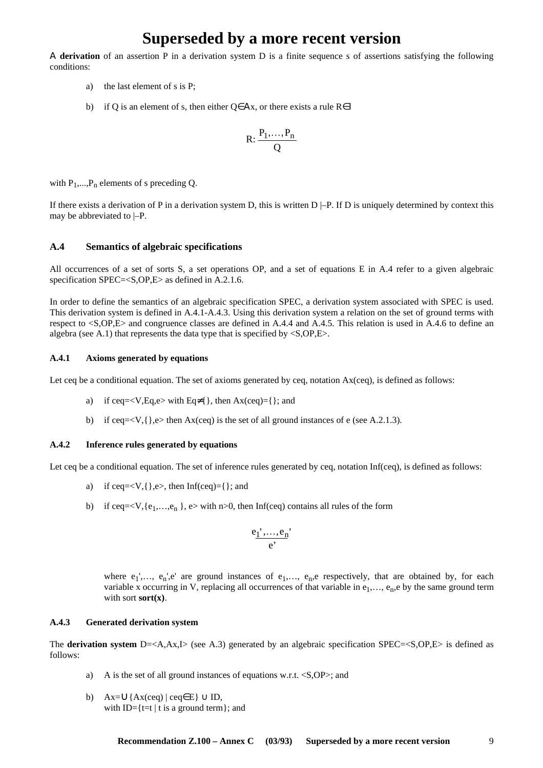Α **derivation** of an assertion P in a derivation system D is a finite sequence s of assertions satisfying the following conditions:

- a) the last element of s is P;
- b) if Q is an element of s, then either Q∈Αx, or there exists a rule R∈Ι

$$
R: \frac{P_1, \ldots, P_n}{Q}
$$

with  $P_1,...,P_n$  elements of s preceding Q.

If there exists a derivation of P in a derivation system D, this is written  $D$  |–P. If D is uniquely determined by context this may be abbreviated to |–P.

#### **A.4 Semantics of algebraic specifications**

All occurrences of a set of sorts S, a set operations OP, and a set of equations E in A.4 refer to a given algebraic specification SPEC=<S,OP,E> as defined in A.2.1.6.

In order to define the semantics of an algebraic specification SPEC, a derivation system associated with SPEC is used. This derivation system is defined in A.4.1-A.4.3. Using this derivation system a relation on the set of ground terms with respect to <S,OP,E> and congruence classes are defined in A.4.4 and A.4.5. This relation is used in A.4.6 to define an algebra (see A.1) that represents the data type that is specified by  $\langle S, OP, E \rangle$ .

#### **A.4.1 Axioms generated by equations**

Let ceq be a conditional equation. The set of axioms generated by ceq, notation  $Ax(ceq)$ , is defined as follows:

- a) if ceq= $\langle V, Eq, e \rangle$  with Eq≠{ }, then Ax(ceq)={ }; and
- b) if ceq= $\langle V, \{\}, e \rangle$  then Ax(ceq) is the set of all ground instances of e (see A.2.1.3).

#### **A.4.2 Inference rules generated by equations**

Let ceq be a conditional equation. The set of inference rules generated by ceq, notation Inf(ceq), is defined as follows:

- a) if ceq= $\langle V, \{\}, e \rangle$ , then Inf(ceq)= $\{\}$ ; and
- b) if ceq= $\langle V, \{e_1, \ldots, e_n\} \rangle$ , e> with n>0, then Inf(ceq) contains all rules of the form

$$
\frac{e_1^{\phantom{'}} , \ldots , e_n^{\phantom{'}}}{e^{\phantom{'}}}
$$

where  $e_1'$ ,...,  $e_n'$ ,e' are ground instances of  $e_1$ ,...,  $e_n$ ,e respectively, that are obtained by, for each variable x occurring in V, replacing all occurrences of that variable in  $e_1, \ldots, e_n$ , e by the same ground term with sort **sort**(**x**).

#### **A.4.3 Generated derivation system**

The **derivation system** D=<A,Ax,I> (see A.3) generated by an algebraic specification SPEC=<S,OP,E> is defined as follows:

- a) A is the set of all ground instances of equations w.r.t. <S,OP>; and
- b)  $Ax = \bigcup \{ Ax (ceq) | ceq \in E \} \cup ID$ , with ID= $\{t=t \mid t \text{ is a ground term}\}$ ; and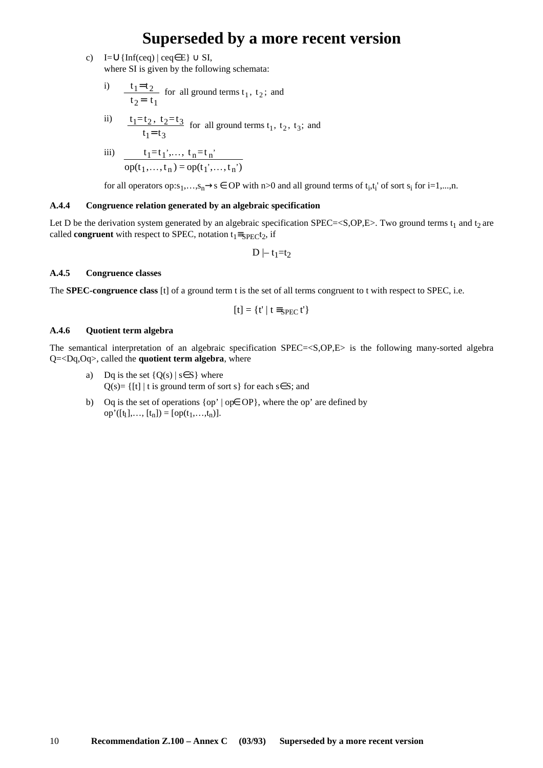c)  $I=\cup\{\text{Inf}(ceq) \mid ceq \in E\} \cup SI$ , where SI is given by the following schemata:

i) 
$$
\frac{t_1=t_2}{t_2=t_1}
$$
 for all ground terms  $t_1$ ,  $t_2$ ; and

ii) 
$$
\frac{t_1 = t_2, t_2 = t_3}{t_1 = t_3}
$$
 for all ground terms  $t_1$ ,  $t_2$ ,  $t_3$ ; and

iii) 
$$
\frac{t_1 = t_1', \dots, t_n = t_n'}{op(t_1, \dots, t_n) = op(t_1', \dots, t_n')}
$$

for all operators op:s<sub>1</sub>,…,s<sub>n</sub>→s  $\in$  OP with n>0 and all ground terms of t<sub>i</sub>,t<sub>i</sub>' of sort s<sub>i</sub> for i=1,…,n.

#### **A.4.4 Congruence relation generated by an algebraic specification**

Let D be the derivation system generated by an algebraic specification SPEC=<S,OP,E>. Two ground terms  $t_1$  and  $t_2$  are called **congruent** with respect to SPEC, notation  $t_1 \equiv_{SPEC} t_2$ , if

$$
D \mid\!\!-\, t_1 \!\!=\!\! t_2
$$

#### **A.4.5 Congruence classes**

The **SPEC-congruence class** [t] of a ground term t is the set of all terms congruent to t with respect to SPEC, i.e.

$$
[t]=\{t'\mid t\equiv_{SPEC}t'\}
$$

#### **A.4.6 Quotient term algebra**

The semantical interpretation of an algebraic specification SPEC=<S,OP,E> is the following many-sorted algebra Q=<Dq,Oq>, called the **quotient term algebra**, where

- a) Dq is the set  ${Q(s) | s \in S}$  where  $Q(s)$ = {[t] | t is ground term of sort s} for each s \ S; and
- b) Oq is the set of operations {op' | op∈ OP}, where the op' are defined by op'([t<sub>1</sub>],..., [t<sub>n</sub>]) = [op(t<sub>1</sub>,...,t<sub>n</sub>)].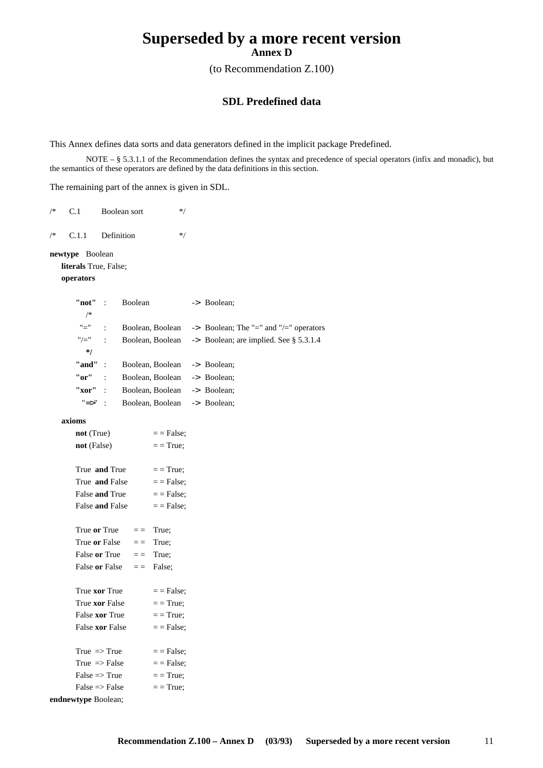(to Recommendation Z.100)

#### **SDL Predefined data**

This Annex defines data sorts and data generators defined in the implicit package Predefined.

NOTE – § 5.3.1.1 of the Recommendation defines the syntax and precedence of special operators (infix and monadic), but the semantics of these operators are defined by the data definitions in this section.

The remaining part of the annex is given in SDL.

| /* | C.1                           |                | Boolean sort       | $*$              |                                        |
|----|-------------------------------|----------------|--------------------|------------------|----------------------------------------|
| /* | C.1.1                         | Definition     |                    | $*$              |                                        |
|    | newtype Boolean               |                |                    |                  |                                        |
|    | literals True, False;         |                |                    |                  |                                        |
|    | operators                     |                |                    |                  |                                        |
|    | "not"                         | $\ddot{\cdot}$ | <b>Boolean</b>     |                  | -> Boolean;                            |
|    | /*                            |                |                    |                  |                                        |
|    | "="                           | $\ddot{\cdot}$ | Boolean, Boolean   |                  | -> Boolean; The "=" and "/=" operators |
|    | "/="                          | $\ddot{\cdot}$ | Boolean, Boolean   |                  | -> Boolean; are implied. See § 5.3.1.4 |
|    | */                            |                |                    |                  |                                        |
|    | "and"                         | ÷              | Boolean, Boolean   |                  | -> Boolean;                            |
|    | "or"                          |                | Boolean, Boolean   |                  | -> Boolean;                            |
|    | "xor"                         |                | Boolean, Boolean   |                  | -> Boolean;                            |
|    | "=>"                          | $\ddot{\cdot}$ |                    | Boolean, Boolean | -> Boolean;                            |
|    | axioms                        |                |                    |                  |                                        |
|    | not (True)                    |                |                    | $=$ = False;     |                                        |
|    | not (False)                   |                |                    | $=$ = True;      |                                        |
|    |                               |                |                    |                  |                                        |
|    | True and True                 |                |                    | $=$ = True;      |                                        |
|    | True and False                |                |                    | $=$ = False;     |                                        |
|    | False and True                |                |                    | $=$ = False;     |                                        |
|    | False and False               |                |                    | $=$ = False;     |                                        |
|    |                               |                |                    |                  |                                        |
|    | True or True<br>True or False |                | $=$ $=$<br>$=$ $=$ | True;<br>True;   |                                        |
|    | False or True                 |                | $=$ $=$            | True;            |                                        |
|    | False or False                |                | $=$ $=$            | False;           |                                        |
|    |                               |                |                    |                  |                                        |
|    | True xor True                 |                |                    | $=$ = False;     |                                        |
|    | True xor False                |                |                    | $=$ = True;      |                                        |
|    | False <b>xor</b> True         |                |                    | $=$ = True;      |                                        |
|    | False xor False               |                |                    | $=$ = False;     |                                        |
|    | True $\Rightarrow$ True       |                |                    | $=$ = False;     |                                        |
|    | True $\Rightarrow$ False      |                |                    | $=$ = False;     |                                        |
|    | $False \implies True$         |                |                    | $=$ = True:      |                                        |
|    | $False \implies False$        |                |                    | $=$ = True;      |                                        |
|    | endnewtype Boolean;           |                |                    |                  |                                        |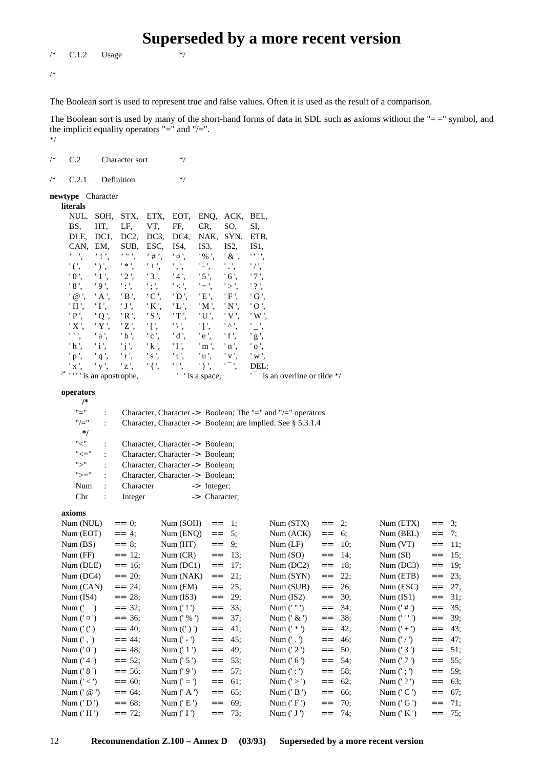#### $\sqrt{\phantom{a}}$  C.1.2 Usage \*/

/\*

The Boolean sort is used to represent true and false values. Often it is used as the result of a comparison.

The Boolean sort is used by many of the short-hand forms of data in SDL such as axioms without the "==" symbol, and the implicit equality operators "=" and "/=". \*/

**Superseded by a more recent version**

| /* | C.2                                                                                                                                                                                                          |                                                                                                                                                                             | Character sort                                                                                                                                                             |                                                                                                                                                                                                                                                         | $*$                                                                                                                                                                                |                                                                                                                                                                                                                     |                                                                                                                                                                                      |                                                                                                                                                                                                               |                                                                                                                            |                                                             |                                        |                                                                                   |                                                                |                                        |
|----|--------------------------------------------------------------------------------------------------------------------------------------------------------------------------------------------------------------|-----------------------------------------------------------------------------------------------------------------------------------------------------------------------------|----------------------------------------------------------------------------------------------------------------------------------------------------------------------------|---------------------------------------------------------------------------------------------------------------------------------------------------------------------------------------------------------------------------------------------------------|------------------------------------------------------------------------------------------------------------------------------------------------------------------------------------|---------------------------------------------------------------------------------------------------------------------------------------------------------------------------------------------------------------------|--------------------------------------------------------------------------------------------------------------------------------------------------------------------------------------|---------------------------------------------------------------------------------------------------------------------------------------------------------------------------------------------------------------|----------------------------------------------------------------------------------------------------------------------------|-------------------------------------------------------------|----------------------------------------|-----------------------------------------------------------------------------------|----------------------------------------------------------------|----------------------------------------|
| /* | C.2.1                                                                                                                                                                                                        |                                                                                                                                                                             | Definition                                                                                                                                                                 |                                                                                                                                                                                                                                                         | $*$                                                                                                                                                                                |                                                                                                                                                                                                                     |                                                                                                                                                                                      |                                                                                                                                                                                                               |                                                                                                                            |                                                             |                                        |                                                                                   |                                                                |                                        |
|    | newtype Character<br>literals                                                                                                                                                                                |                                                                                                                                                                             |                                                                                                                                                                            |                                                                                                                                                                                                                                                         |                                                                                                                                                                                    |                                                                                                                                                                                                                     |                                                                                                                                                                                      |                                                                                                                                                                                                               |                                                                                                                            |                                                             |                                        |                                                                                   |                                                                |                                        |
|    | NUL,<br>BS,<br>DLE,<br>CAN.<br>$^{\prime}$ ,<br>$\cdot$ ( $\cdot$ ,<br>$'0$ ,<br>'8',<br>$'$ @ $',$<br>'Н',<br>'P',<br>'X',<br>$\mathbf{r}\times\mathbf{r}$<br>$^{\prime}$ h $^{\prime}$ ,<br>'p',<br>' x ', | SOH,<br>HT,<br>DC <sub>1</sub><br>EM,<br>$, \cdot, \cdot$<br>$')$ ',<br>'1',<br>'9',<br>'A',<br>'I',<br>$^{\prime}$ Q $^{\prime}$ ,<br>'Y',<br>'a',<br>'i',<br>'q',<br>'y', | STX,<br>LF,<br>DC <sub>2</sub> ,<br>SUB,<br>$, n$ ,<br>$\rightarrow$<br>'2',<br>$^{\prime}$ : ',<br>$'B$ .<br>'J',<br>'R',<br>$'Z$ ',<br>$'b$ ,<br>'j',<br>'r',<br>$'z$ ', | ETX,<br>VT,<br>DC3,<br>ESC,<br>$, \#$ ,<br>$^{\prime}$ + $^{\prime}$ ,<br>'3',<br>$^{\prime}$ ; ',<br>$^{\prime}$ C '.<br>'K',<br>$^{\prime}$ S $^{\prime}$ ,<br>'[',<br>$^{\prime}$ c $^{\prime}$ ,<br>'k',<br>$^{\prime}$ s $^{\prime}$ ,<br>$'$ { ', | EOT,<br>FF,<br>DC4,<br>IS4,<br>'¤',<br>$^{\prime}$ , $^{\prime}$ ,<br>'4'.<br>$'$ < $',$<br>' D'<br>$'L$ .<br>$T$ ,<br>$'\setminus$ ',<br>'d',<br>'1',<br>'t',<br>$^{\prime}$   ', | ENQ,<br>CR,<br>NAK,<br>IS3,<br>$'$ % $',$<br>$\cdot$ - $\cdot$<br>$^{\prime}$ 5 $^{\prime}$ ,<br>$' = '$<br>'E',<br>$^{\prime}$ M $^{\prime}$ ,<br>$'U'$ ,<br>'1',<br>'e',<br>'m',<br>$'$ u',<br>$\mathcal{L}$ } ', | ACK,<br>SO,<br>SYN,<br>IS <sub>2</sub> ,<br>$'$ & $',$<br>$^{\prime}$ .',<br>'6',<br>$\mathsf{'}>\mathsf{'}$<br>'F',<br>'N',<br>$'V'$ .<br>「A!<br>'f',<br>'n',<br>$'$ v $',$<br>'Т', | BEL,<br>SI,<br>ETB,<br>IS <sub>1</sub><br>1.1.1.1<br>$'$ / $',$<br>'7',<br>$'$ ?',<br>$'$ G $',$<br>'O'<br>'W'.<br>$'$ $\overline{\phantom{a}}$ ,<br>$^{\prime}$ g $^{\prime},$<br>$'$ o $',$<br>'w'.<br>DEL: |                                                                                                                            |                                                             |                                        |                                                                                   |                                                                |                                        |
|    | $\prime^*$ $\cdots$ is an apostrophe,                                                                                                                                                                        |                                                                                                                                                                             |                                                                                                                                                                            |                                                                                                                                                                                                                                                         |                                                                                                                                                                                    | ' ' is a space,                                                                                                                                                                                                     |                                                                                                                                                                                      |                                                                                                                                                                                                               | $\frac{1}{1}$ is an overline or tilde */                                                                                   |                                                             |                                        |                                                                                   |                                                                |                                        |
|    | operators<br>/*<br>"="<br>"/="<br>*/<br>$"<"$                                                                                                                                                                | $\ddot{\cdot}$<br>$\ddot{\cdot}$                                                                                                                                            |                                                                                                                                                                            |                                                                                                                                                                                                                                                         |                                                                                                                                                                                    |                                                                                                                                                                                                                     |                                                                                                                                                                                      |                                                                                                                                                                                                               | Character, Character -> Boolean; The "=" and "/=" operators<br>Character, Character -> Boolean; are implied. See § 5.3.1.4 |                                                             |                                        |                                                                                   |                                                                |                                        |
|    | $"<="$<br>">'<br>">="<br>Num<br>Chr                                                                                                                                                                          | $\ddot{\cdot}$<br>$\ddot{\cdot}$<br>$\ddot{\cdot}$<br>$\ddot{\cdot}$<br>$\ddot{\cdot}$                                                                                      | Character<br>Integer                                                                                                                                                       |                                                                                                                                                                                                                                                         | Character, Character -> Boolean;<br>Character, Character -> Boolean;<br>Character, Character -> Boolean;<br>Character, Character -> Boolean;                                       | -> Integer;<br>-> Character;                                                                                                                                                                                        |                                                                                                                                                                                      |                                                                                                                                                                                                               |                                                                                                                            |                                                             |                                        |                                                                                   |                                                                |                                        |
|    | axioms<br>Num (NUL)<br>Num (EOT)<br>Num(BS)<br>Num (FF)                                                                                                                                                      |                                                                                                                                                                             | $=-0;$<br>$= 4;$<br>$=$ 8;<br>$=$ 12;                                                                                                                                      |                                                                                                                                                                                                                                                         | Num (SOH)<br>Num (ENQ)<br>Num(HT)<br>Num (CR)                                                                                                                                      | $==$<br>$==$<br>$==$                                                                                                                                                                                                | $\mathbf{1}$ ;<br>5:<br>9;<br>$=$ 13;                                                                                                                                                |                                                                                                                                                                                                               | Num(STX)<br>Num (ACK)<br>Num(LF)<br>Num(SO)                                                                                | $==$<br>$==$<br>$=$                                         | 2;<br>6;<br>10;<br>$=$ 14;             | Num (ETX)<br>Num (BEL)<br>Num (VT)<br>Num(SI)                                     | $=$<br>$==$<br>$==$<br>$=$                                     | 3;<br>7;<br>11;<br>15;                 |
|    | Num (DLE)<br>Num (DC4)<br>Num (CAN)<br>Num $(IS4)$<br>Num $('')$                                                                                                                                             |                                                                                                                                                                             | $=-16;$<br>$= 20;$<br>$=$ 24;<br>$=$ 28:<br>$=$ = 32;                                                                                                                      |                                                                                                                                                                                                                                                         | Num (DC1)<br>Num (NAK)<br>Num (EM)<br>Num $(IS3)$<br>Num $('!)$                                                                                                                    | $=$ $=$<br>$=$ $=$<br>$=$ $=$<br>$=$ $=$<br>$=$ $=$                                                                                                                                                                 | 17;<br>21;<br>25;<br>29;<br>33;                                                                                                                                                      |                                                                                                                                                                                                               | Num (DC2)<br>Num (SYN)<br>Num (SUB)<br>Num $(IS2)$<br>Num $('")$                                                           | $=$ $=$<br>$=$ $=$<br>$=$ $=$<br>$=$ $=$<br>$=$ $=$         | 18;<br>22;<br>26;<br>30;<br>34;        | Num (DC3)<br>Num (ETB)<br>Num (ESC)<br>Num (IS1)<br>Num $('#')$                   | $=$ $=$<br>$=$ $=$<br>$=$ $=$<br>$=$ $=$<br>$=$ $=$            | 19;<br>23;<br>27;<br>31;<br>35;        |
|    | Num $(' \nvert z')$<br>Num $('')$<br>Num $(',')$<br>Num $('0')$<br>Num ('4')<br>Num $(' 8')$                                                                                                                 |                                                                                                                                                                             | $=$ = 36;<br>$= 40;$<br>$= 44;$<br>$= 48;$<br>$=$ = 52;<br>$=$ = 56;                                                                                                       |                                                                                                                                                                                                                                                         | Num $('%')$<br>Num $((')')$<br>Num $(' -')$<br>Num ('1')<br>Num ('5')<br>Num $('9')$                                                                                               | $==$<br>$==$<br>$=$ $=$<br>$=$ $=$<br>$==$<br>$=$ $=$                                                                                                                                                               | 37;<br>41;<br>45;<br>49;<br>53;<br>57;                                                                                                                                               |                                                                                                                                                                                                               | Num $(' \&')$<br>Num $('*)$<br>Num ('.')<br>Num ('2')<br>Num $('6')$<br>Num $(':)$                                         | $==$<br>$=$ $=$<br>$=$ $=$<br>$=$ $=$<br>$=$ $=$<br>$=$ $=$ | 38;<br>42;<br>46;<br>50;<br>54;<br>58; | Num ('''')<br>Num $(' +')$<br>Num $('')$<br>Num ('3')<br>Num ('7')<br>Num $(';')$ | $=$ $=$<br>$=$ $=$<br>$=$ $=$<br>$=$ $=$<br>$=$ $=$<br>$=$ $=$ | 39;<br>43;<br>47;<br>51;<br>55;<br>59; |
|    | Num $(' <')$<br>Num $(^\circ \omega)$<br>Num $('D')$<br>Num $('H')$                                                                                                                                          |                                                                                                                                                                             | $=$ = 60;<br>$= 64;$<br>$=$ = 68;<br>$=$ 72;                                                                                                                               |                                                                                                                                                                                                                                                         | Num $('=')$<br>Num $('A')$<br>Num $('E')$<br>Num $('I')$                                                                                                                           | $=$ $=$<br>$=$ $=$<br>$=$ $=$<br>$=$ $=$                                                                                                                                                                            | 61;<br>65;<br>69;<br>73;                                                                                                                                                             |                                                                                                                                                                                                               | Num $('>)$<br>Num $('B')$<br>Num $('F')$<br>Num $('J')$                                                                    | $=$ $=$<br>$=$ $=$<br>$=$ $=$<br>$=$ $=$                    | 62;<br>66;<br>70;<br>74;               | Num ('?')<br>Num $('C')$<br>Num $('G')$<br>Num $('K')$                            | $=$ $=$<br>$=$ $=$<br>$=$ $=$<br>$=$ $=$                       | 63;<br>67;<br>71;<br>75;               |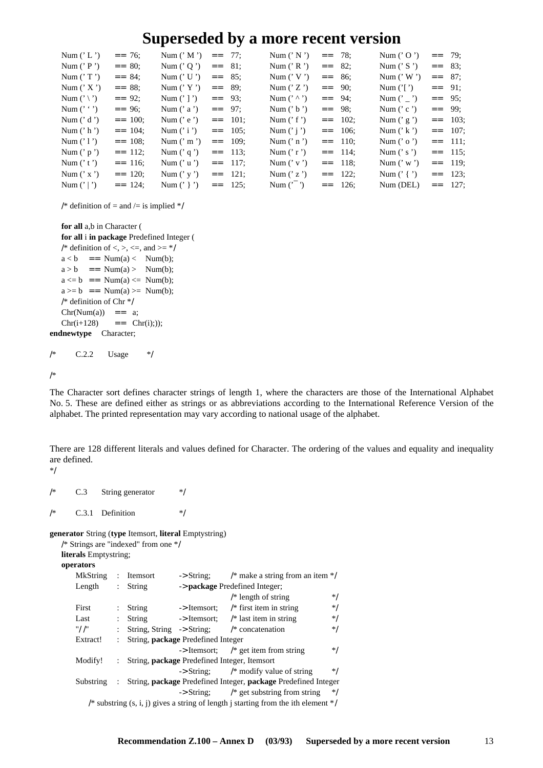| Num $('L')$         | $=-26$     | Num (' M ') == 77;  |          |          | Num (' N ') = = 78; |          |           | Num (' O ') == 79;   |           |           |
|---------------------|------------|---------------------|----------|----------|---------------------|----------|-----------|----------------------|-----------|-----------|
| Num $('P')$         | $=-80$ :   | Num ('Q') == 81;    |          |          | Num (' R ') == 82;  |          |           | Num (' S ') == 83;   |           |           |
| Num $('T')$         | $=$ 84:    | Num ('U') == $85$ : |          |          | Num $('V')$         | $=-86$   |           | Num $('W')$          | $=-\ 87$  |           |
| Num $('X')$         | $=-88$ :   | Num $('Y')$         | $=-89$ : |          | Num $('Z')$         | $=-90$ : |           | Num $(' ')$          | $=-91$ ;  |           |
| Num $(')$ $\rangle$ | $=$ 92:    | Num $('')$          | $=$ 93:  |          | Num $(' \wedge '')$ | $=$ 94:  |           | Num $('_')$ == 95;   |           |           |
| Num $('')$          | $=$ 96;    | Num ('a') == 97;    |          |          | Num $('b')$         | $=$ 98:  |           | Num $('c')$          | $=-99$    |           |
| Num $('d')$         | $=$ = 100: | Num $('e')$         |          | $=$ 101: | Num $('f')$         |          | $=$ 102:  | Num $('g')$          |           | $=-103$ ; |
| Num $('h')$         | $=$ 104:   | Num $('i')$         |          | $=$ 105: | Num $('i')$         |          | $=-106$ : | Num $('k')$          | $=-107$ : |           |
| Num $('1')$         | $=$ 108;   | Num $('m')$         |          | $=-109;$ | Num $('n')$         |          | $=$ 110:  | Num $('o')$          | $=$ 111;  |           |
| Num $('p')$         | $=$ 112:   | Num $('q')$         |          | $=$ 113: | Num $('r')$         |          | $=$ 114:  | Num $('s')$          | $=$ 115;  |           |
| Num $('t')$         | $=-116$ ;  | Num $('u')$         |          | $=$ 117: | Num $('v')$         |          | $=$ 118:  | Num (' w ') $=$ 119; |           |           |
| Num $('x')$         | $=$ 120:   | Num $('y')$         |          | $=$ 121: | Num $('z')$         |          | $=$ 122:  | Num (' { ') = = 123; |           |           |
| Num $('')$          | $=$ 124:   | Num (' } ') == 125; |          |          | Num (' ') == 126;   |          |           | Num (DEL) $=$ 127;   |           |           |

/\* definition of = and /= is implied \*/

**for all** a,b in Character ( **for all** i **in package** Predefined Integer ( /\* definition of <, >, <=, and >=  $*/$  $a < b$  = Num(a) < Num(b);  $a > b$  == Num(a) > Num(b);  $a \leq b$  = Num(a)  $\leq$  Num(b);  $a \geq b$  = Num(a)  $\geq$  Num(b); /\* definition of Chr \*/  $Chr(Num(a)) == a;$  $Chr(i+128) = = Chr(i));$ **endnewtype** Character; /\* C.2.2 Usage \*/

/\*

The Character sort defines character strings of length 1, where the characters are those of the International Alphabet No. 5. These are defined either as strings or as abbreviations according to the International Reference Version of the alphabet. The printed representation may vary according to national usage of the alphabet.

There are 128 different literals and values defined for Character. The ordering of the values and equality and inequality are defined.

\*/

/\* C.3 String generator \*/  $/*$  C.3.1 Definition  $*$ /

**generator** String (**type** Itemsort, **literal** Emptystring)

|  | /* Strings are "indexed" from one */ |  |  |
|--|--------------------------------------|--|--|
|  |                                      |  |  |

**literals** Emptystring; **operators**

| л амл э                                                                              |  |                                                       |                       |                                                                                |       |
|--------------------------------------------------------------------------------------|--|-------------------------------------------------------|-----------------------|--------------------------------------------------------------------------------|-------|
| MkString                                                                             |  | $:$ Itemsort                                          | $\rightarrow$ String; | /* make a string from an item $\frac{k}{t}$                                    |       |
| Length                                                                               |  | $:$ String                                            |                       | -> package Predefined Integer;                                                 |       |
|                                                                                      |  |                                                       |                       | $/*$ length of string                                                          | */    |
| First                                                                                |  | String                                                | -> Itemsort:          | $/*$ first item in string                                                      | */    |
| Last                                                                                 |  | String                                                |                       | $\rightarrow$ Itemsort; /* last item in string                                 | */    |
| "/ /"                                                                                |  |                                                       |                       | String, String $\rightarrow$ String; /* concatenation                          | */    |
| Extract!                                                                             |  | : String, <b>package</b> Predefined Integer           |                       |                                                                                |       |
|                                                                                      |  |                                                       |                       | $\rightarrow$ Itemsort; /* get item from string                                | */    |
| Modify!                                                                              |  | : String, <b>package</b> Predefined Integer, Itemsort |                       |                                                                                |       |
|                                                                                      |  |                                                       |                       | $\rightarrow$ String: $\frac{1}{2}$ modify value of string                     | $*$ / |
| Substring                                                                            |  |                                                       |                       | : String, <b>package</b> Predefined Integer, <b>package</b> Predefined Integer |       |
|                                                                                      |  |                                                       |                       | $\rightarrow$ String: /* get substring from string                             | $*$   |
| /* substring (s, i, j) gives a string of length j starting from the ith element $*/$ |  |                                                       |                       |                                                                                |       |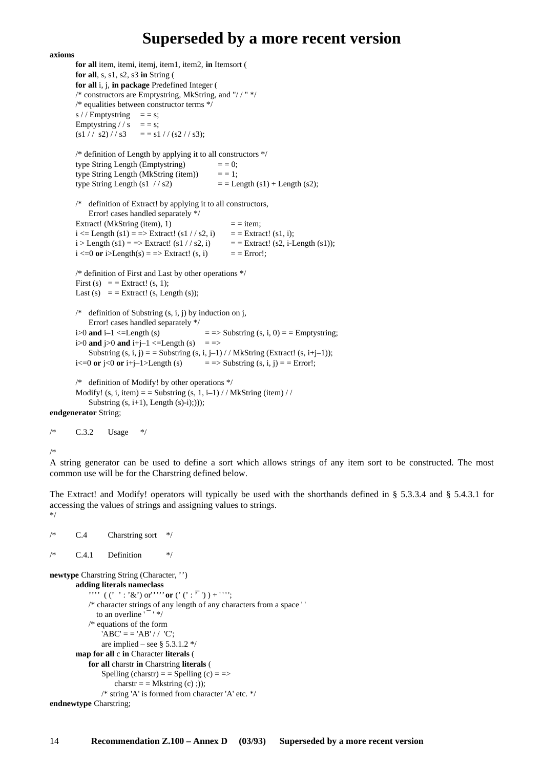#### **axioms**

**for all** item, itemi, itemj, item1, item2, **in** Itemsort ( **for all**, s, s1, s2, s3 **in** String ( **for all** i, j, **in package** Predefined Integer ( /\* constructors are Emptystring, MkString, and "/ / " \*/ /\* equalities between constructor terms \*/ s / / Emptystring  $=$  = s; Emptystring // s = = s;  $(s1 // s2) // s3 = s1 // (s2 // s3);$ /\* definition of Length by applying it to all constructors \*/ type String Length (Emptystring)  $= = 0;$ type String Length (MkString (item))  $=$  = 1; type String Length (s1  $//$  s2)  $=$   $=$  Length (s1) + Length (s2); /\* definition of Extract! by applying it to all constructors, Error! cases handled separately \*/ Extract! (MkString (item), 1)  $=$  = item;  $i \leq$  Length (s1) = => Extract! (s1 //s2, i) = = Extract! (s1, i);  $i >$  Length (s1) = => Extract! (s1 //s2, i) = = Extract! (s2, i-Length (s1));  $i \leq 0$  or  $i > \text{Length}(s) = \text{?}$  Extract!  $(s, i)$  = = Error!; /\* definition of First and Last by other operations \*/ First (s)  $=$  = Extract! (s, 1); Last (s)  $=$  = Extract! (s, Length (s)); /\* definition of Substring  $(s, i, j)$  by induction on j, Error! cases handled separately \*/ i>0 **and** i–1 <=Length (s)  $=$  => Substring (s, i, 0) = = Emptystring; i>0 **and** j>0 **and** i+j-1 <=Length (s) = => Substring  $(s, i, j) =$  = Substring  $(s, i, j-1)$  / / MkString (Extract!  $(s, i+j-1)$ );  $i \leq 0$  **or**  $j \leq 0$  **or**  $i+j-1$ >Length (s) = = > Substring (s, i, j) = = Error!; /\* definition of Modify! by other operations \*/ Modify! (s, i, item) = = Substring (s, 1, i–1) // MkString (item) // Substring  $(s, i+1)$ , Length  $(s)-i$ ;);)); **endgenerator** String;

/\* C.3.2 Usage \*/

/\*

A string generator can be used to define a sort which allows strings of any item sort to be constructed. The most common use will be for the Charstring defined below.

The Extract! and Modify! operators will typically be used with the shorthands defined in § 5.3.3.4 and § 5.4.3.1 for accessing the values of strings and assigning values to strings. \*/

```
/* C.4 Charstring sort */
/* C.4.1 Definition */newtype Charstring String (Character, '')
       adding literals nameclass
           "', ((' ' : '&') or''''' or (' (' : <sup>''</sup>') ) + '''';
           /* character strings of any length of any characters from a space ' '
              to an overline 1 - 1 */
           /* equations of the form
               'ABC' = -'AB' / / 'C';are implied – see § 5.3.1.2 */map for all c in Character literals (
           for all charstr in Charstring literals (
               Spelling (charstr) = = Spelling (c) = \Rightarrowcharstr = = Mkstring (c) ;));
               /* string 'A' is formed from character 'A' etc. */
endnewtype Charstring;
```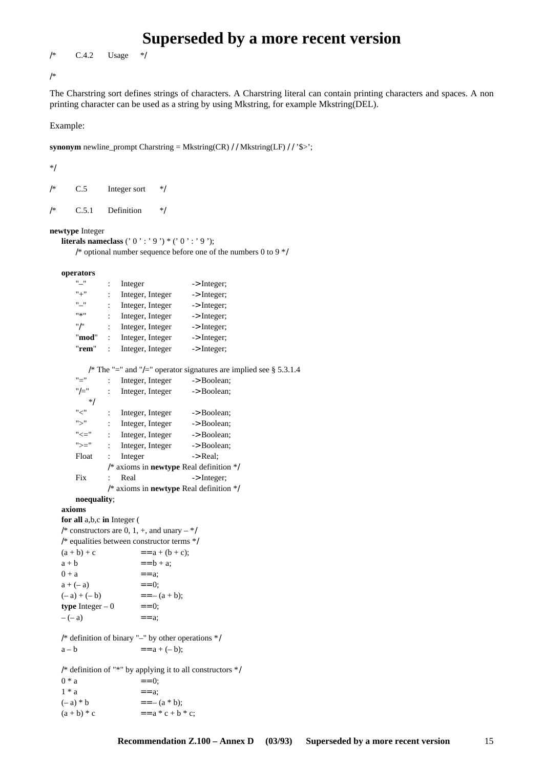/\* C.4.2 Usage \*/

/\*

The Charstring sort defines strings of characters. A Charstring literal can contain printing characters and spaces. A non printing character can be used as a string by using Mkstring, for example Mkstring(DEL).

Example:

**synonym** newline\_prompt Charstring = Mkstring(CR) / / Mkstring(LF) / / '\$>';

\*/

| /* | C.5   | Integer sort | $*$ / |
|----|-------|--------------|-------|
| /* | C.5.1 | Definition   | $*$ / |

**newtype** Integer

```
literals nameclass (' 0 ' : ' 9 ') * (' 0 ' : ' 9 ');
```

```
/* optional number sequence before one of the numbers 0 to 9 */
```

```
operators
```

| $"-"$                      | $:$ Integer               |                                                            | $\rightarrow$ Integer;                                               |
|----------------------------|---------------------------|------------------------------------------------------------|----------------------------------------------------------------------|
| $" +"$                     | $\mathbb{R}^{\mathbb{Z}}$ | Integer, Integer -> Integer;                               |                                                                      |
| "_"                        | $\mathbb{R}^{\mathbb{Z}}$ | Integer, Integer -> Integer;                               |                                                                      |
|                            |                           | : Integer, Integer $\rightarrow$ Integer;                  |                                                                      |
| $"$ /"                     |                           | : Integer, Integer $\rightarrow$ Integer;                  |                                                                      |
|                            |                           | " $\mathbf{mod}$ ": Integer, Integer -> Integer;           |                                                                      |
| "rem"                      |                           | : Integer, Integer -> Integer;                             |                                                                      |
|                            |                           |                                                            |                                                                      |
|                            |                           |                                                            | /* The "=" and "/=" operator signatures are implied see $\S$ 5.3.1.4 |
| $"="$                      | $\sim$ 10 $\sim$          | Integer, Integer -> Boolean;                               |                                                                      |
|                            |                           | " $/=$ " : Integer, Integer -> Boolean;                    |                                                                      |
| $*$                        |                           |                                                            |                                                                      |
|                            |                           | "<" : Integer, Integer -> Boolean;                         |                                                                      |
|                            |                           | ">" : Integer, Integer -> Boolean;                         |                                                                      |
|                            |                           | " $\le$ " $\le$ ": Integer, Integer $\rightarrow$ Boolean; |                                                                      |
|                            |                           | " $>=$ " : Integer, Integer -> Boolean;                    |                                                                      |
| Float :                    | Integer                   |                                                            | -> Real;                                                             |
|                            |                           |                                                            | $/*$ axioms in newtype Real definition $*/$                          |
| Fix                        | Real<br>÷                 |                                                            | $\rightarrow$ Integer;                                               |
|                            |                           |                                                            | $/*$ axioms in <b>newtype</b> Real definition $*/$                   |
| noequality;                |                           |                                                            |                                                                      |
| axioms                     |                           |                                                            |                                                                      |
| for all a,b,c in Integer ( |                           |                                                            |                                                                      |
|                            |                           | /* constructors are 0, 1, +, and unary $-$ */              |                                                                      |
|                            |                           | /* equalities between constructor terms */                 |                                                                      |
| $(a + b) + c$              |                           | $=$ = a + (b + c);                                         |                                                                      |
| $a + b$                    |                           | $=-b + a$ ;                                                |                                                                      |
| $0 + a$                    |                           | $== a$                                                     |                                                                      |
| $a + (-a)$                 |                           | $== 0$ ;                                                   |                                                                      |
|                            |                           |                                                            |                                                                      |

 $(-a) + (-b)$  ==- $(a + b);$ **type** Integer – 0  $=$  = 0;  $-(-a)$  == a;

/\* definition of binary "–" by other operations \*/  $a - b$  = =  $a + (-b)$ ;

/\* definition of "\*" by applying it to all constructors \*/  $0 * a = 0;$ 

| 1 * a         | $=-a$ :                 |
|---------------|-------------------------|
| $(-a)*b$      | $=- (a * b);$           |
| $(a + b) * c$ | $=$ = $a * c + b * c$ ; |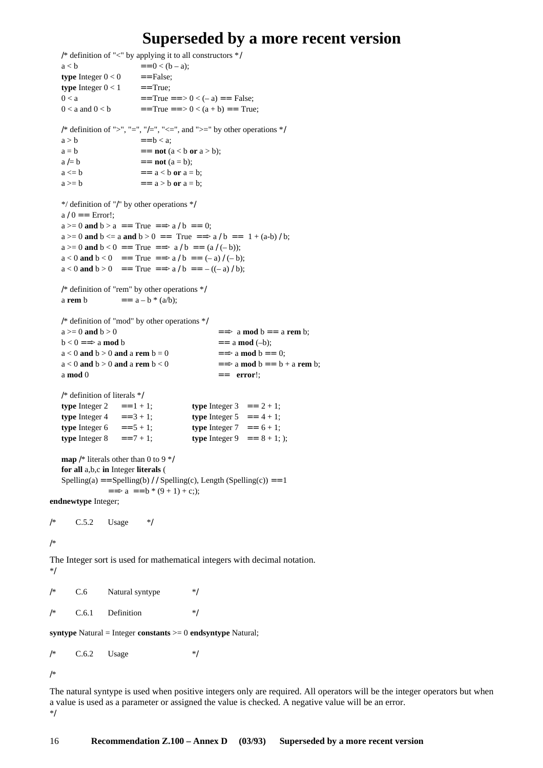```
/* definition of "<" by applying it to all constructors */
   a < b = = 0 < (b – a);
   type Integer 0 < 0 = = False:
   type Integer 0 < 1 = = True;
   0 < a = True = > 0 < (-a) = False;
  0 < a and 0 < b = True = = > 0 < (a + b) = True;
  /* definition of ">", "=", "/=", "<=", and ">=" by other operations */a > b == b < a;
   a = b = not (a < b or a > b);
  a = b = not (a = b);
   a \leq b = a \leq b or a = b;
   a \geq b = a \geq b or a = b;
   */ definition of "/" by other operations */
   a / 0 == Error!;
   a >= 0 and b > a == True == > a / b == 0;
   a > = 0 and b < = a and b > 0 = True = \gg a / b = 1 + (a-b) / b;
  a > = 0 and b < 0 = = True = > a/b = (a / (-b));
  a < 0 and b < 0 = True = \gg a / b = (-a) / (-b);
   a < 0 and b > 0 = True = \gg a / b = = - ((-a) / b);
  /* definition of "rem" by other operations */
   a rem b = a - b * (a/b);/* definition of "mod" by other operations */
  a \ge 0 and b > 0 = \Rightarrow a mod b = a rem b;
   b < 0 \Rightarrow b < 0 \Rightarrow a mod b = a \mod (-b);a < 0 and b > 0 and a rem b = 0 = \Rightarrow a mod b = 0;
   a < 0 and b > 0 and a rem b < 0 = = > a mod b = 0 + a rem b;
   a mod 0 = error!;
   /* definition of literals */
   type Integer 2 = = 1 + 1; type Integer 3 = = 2 + 1;
   type Integer 4 = 3 + 1; type Integer 5 = 4 + 1;
   type Integer 6 = = 5 + 1; type Integer 7 = = 6 + 1;
   type Integer 8 = = 7 + 1; type Integer 9 = = 8 + 1; );
   map /* literals other than 0 to 9 */
   for all a,b,c in Integer literals (
   Spelling(a) = Spelling(b) / / Spelling(c), Length (Spelling(c)) = = 1
              = \Rightarrow a = = b * (9 + 1) + c;);
endnewtype Integer;
/* C.5.2 Usage */
/*
The Integer sort is used for mathematical integers with decimal notation.
*/
/* C.6 Natural syntype */
/* C.6.1 Definition */
syntype Natural = Integer constants >= 0 endsyntype Natural;
/* C.6.2 Usage */
/*
```
The natural syntype is used when positive integers only are required. All operators will be the integer operators but when a value is used as a parameter or assigned the value is checked. A negative value will be an error. \*/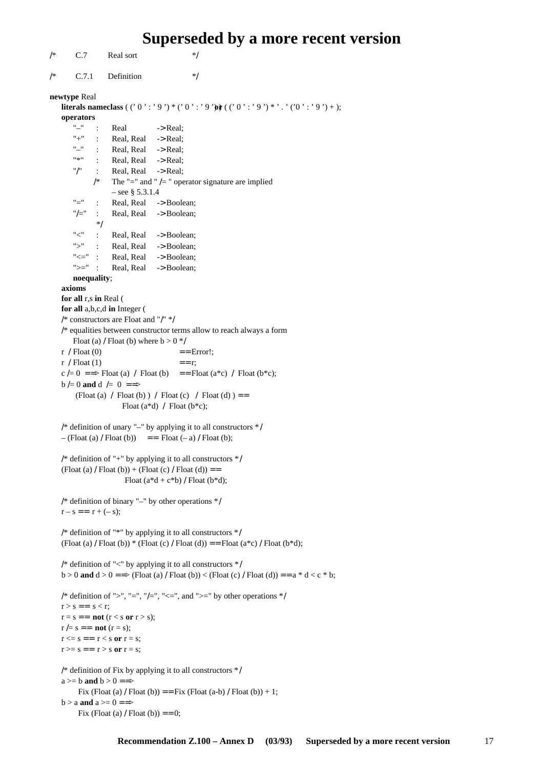```
/* C.7 Real sort */
/* C.7.1 Definition */
newtype Real
   literals nameclass ( (' 0': ' 9') * (' 0': ' 9') \mathbf{\hat{j}} ( (' 0': ' 9') * '. ' ('0': ' 9') + );
   operators
       " : Real \rightarrow Real:
       "+" : Real, Real \rightarrow Real;
      "–" : Real, Real -> Real;<br>"*" : Real Real -> Real;
             : Real, Real -> Real;
       "/" : Real, Real \rightarrow Real;
             /* The "=" and " /= " operator signature are implied
                  – see \S 5.3.1.4"=" : Real, Real -> Boolean;
       "/=" : Real, Real -> Boolean;
             */
       "<" : Real, Real -> Boolean;
       ">" : Real, Real -> Boolean;
       "<=" : Real, Real -> Boolean;
       ">=" : Real, Real -> Boolean;
       noequality;
   axioms
   for all r,s in Real (
   for all a,b,c,d in Integer (
   /* constructors are Float and "/" */
   /* equalities between constructor terms allow to reach always a form
      Float (a) / Float (b) where b > 0 */
   r / Float (0) = Error!;
   r / Float (1) == r;
   c /= 0 = = > Float (a) / Float (b) = = Float (a*c) / Float (b*c);
   b = 0 and d = 0 = = >
        (Float (a) / Float (b) ) / Float (c) / Float (d) ) =Float (a * d) / Float (b * c);
   /* definition of unary "–" by applying it to all constructors */
   - (Float (a) / Float (b)) = = Float (-a) / Float (b);
   /* definition of "+" by applying it to all constructors */
   (Float (a) / Float (b)) + (Float (c) / Float (d)) = =
                      Float (a^*d + c^*b) / Float (b^*d);
   /* definition of binary "–" by other operations */
   r - s = r + (-s);/* definition of "*" by applying it to all constructors */
   (Float (a) / Float (b)) *( (Float (c) / Float (d)) = = Float (a*c) / Float (b*d);
   /* definition of "<" by applying it to all constructors */b > 0 and d > 0 = \Rightarrow (Float (a) / Float (b)) < (Float (c) / Float (d)) = = a * d < c * b;
   /* definition of ">", "=", "/=", "<=", and ">=" by other operations */r > s == s < r;r = s == \textbf{not} (r < s \textbf{ or } r > s);r = s = \textbf{not} (r = s);r \leq s == r \leq s or r = s;
   r \geq s == r > s or r = s;
   /* definition of Fix by applying it to all constructors */
   a >= b and b > 0 == > 0Fix (Float (a) / Float (b)) = = Fix (Float (a-b) / Float (b)) + 1;
   b > a and a > = 0 == >
```

```
Fix (Float (a) / Float (b)) == 0;
```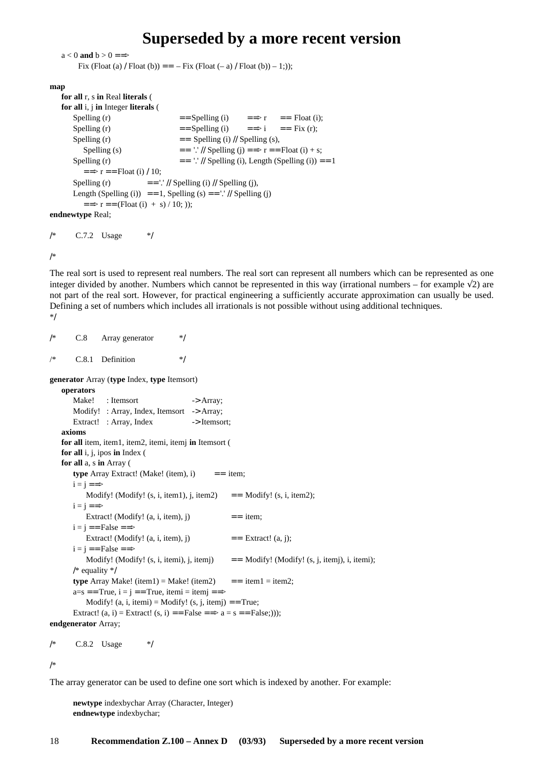```
a < 0 and b > 0 == >Fix (Float (a) / Float (b)) = = -Fix (Float (- a) / Float (b)) - 1;));
map
   for all r, s in Real literals (
   for all i, j in Integer literals (
       Spelling (r) = \text{Spelling (i)} = \text{Spelling (i)} = \text{Spelling (i)};
       Spelling (r) = = \text{Spelling (i)} = \Rightarrow i = \text{Fix (r)};
       Spelling (r) = Spelling (i) // Spelling (s),
          Spelling (s) = \cdot \cdot // Spelling (j) = \Rightarrow r = \text{Fload} (i) + s;
       Spelling (r) = \frac{1!}{1!} Spelling (i), Length (Spelling (i)) = 1
          = \Rightarrow r = = Float (i) / 10;
       Spelling (r) = \frac{1}{1} // Spelling (i) // Spelling (j),
       Length (Spelling (i)) = = 1, Spelling (s) = \cdot \cdot // Spelling (j)
          = = \Rightarrow r = = (Float (i) + s) / 10; ));
endnewtype Real;
```
/\* C.7.2 Usage \*/

/\*

The real sort is used to represent real numbers. The real sort can represent all numbers which can be represented as one integer divided by another. Numbers which cannot be represented in this way (irrational numbers – for example  $\sqrt{2}$ ) are not part of the real sort. However, for practical engineering a sufficiently accurate approximation can usually be used. Defining a set of numbers which includes all irrationals is not possible without using additional techniques. \*/

```
/* C.8 Array generator */
/* C.8.1 Definition */
generator Array (type Index, type Itemsort)
   operators
      Make! : Itemsort -> Array;
      Modify! : Array, Index, Itemsort -> Array;
      Extract! : Array, Index -> Itemsort;
   axioms
   for all item, item1, item2, itemi, itemj in Itemsort (
   for all i, j, ipos in Index (
   for all a, s in Array (
      type Array Extract! (Make! (item), i) = = item;
      i = i == >Modify! (Modify! (s, i, item1), j, item2) = Modify! (s, i, item2);
      i = j == >Extract! (Modify! (a, i, item), j) == item;
      i = j == False ==Extract! (Modify! (a, i, item), j == Extract! (a, j);
      i = j == False ==Modify! (Modify! (s, i, itemi), j, itemj) == Modify! (Modify! (s, j, itemj), i, itemi);
      /* equality */
      type Array Make! (item1) = Make! (item2) = = item1 = item2;
      a=s == True, i = j == True, itemi = itemj ==Modify! (a, i, item) = Modify! (s, j, item) = True;Extract! (a, i) = Extract! (s, i) = = False = = > a = s = = False;)));
endgenerator Array;
```
/\* C.8.2 Usage \*/

/\*

The array generator can be used to define one sort which is indexed by another. For example:

**newtype** indexbychar Array (Character, Integer) **endnewtype** indexbychar;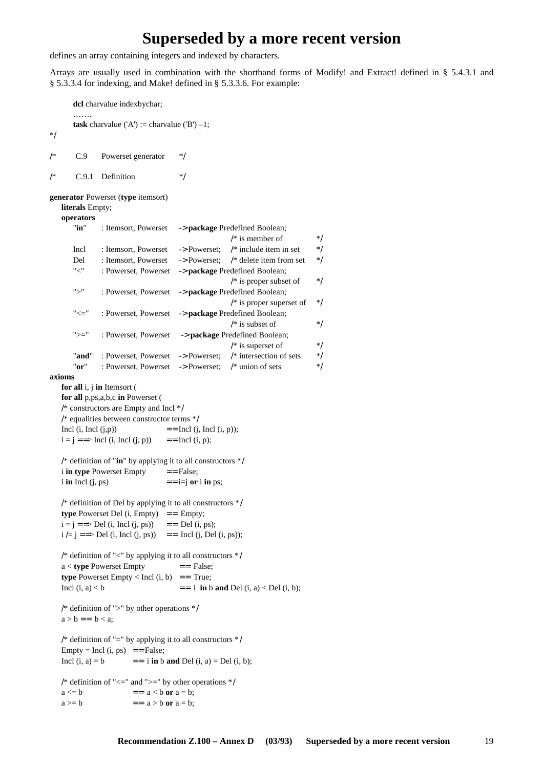defines an array containing integers and indexed by characters.

Arrays are usually used in combination with the shorthand forms of Modify! and Extract! defined in § 5.4.3.1 and § 5.3.3.4 for indexing, and Make! defined in § 5.3.3.6. For example:

**dcl** charvalue indexbychar; ……. **task** charvalue ('A') := charvalue ('B')  $-1$ ; \*/ /\* C.9 Powerset generator \*/  $/*$  C.9.1 Definition  $*$ / **generator** Powerset (**type** itemsort) **literals** Empty; **operators** "**in**" : Itemsort, Powerset -> **package** Predefined Boolean; /\* is member of  $*$ / Incl : Itemsort, Powerset -> Powerset; /\* include item in set \*/ Del : Itemsort, Powerset -> Powerset; /\* delete item from set \*/ "<" : Powerset, Powerset -> **package** Predefined Boolean;  $/*$  is proper subset of  $*$ ">" : Powerset, Powerset -> **package** Predefined Boolean;  $/*$  is proper superset of  $*$ / "<=" : Powerset, Powerset -> **package** Predefined Boolean;  $/*$  is subset of  $*$ ">=" : Powerset, Powerset -> **package** Predefined Boolean;  $/*$  is superset of  $*$ "**and**" : Powerset, Powerset -> Powerset; /\* intersection of sets \*/ "**or**" : Powerset, Powerset -> Powerset; /\* union of sets \*/ **axioms for all** i, j **in** Itemsort ( **for all** p,ps,a,b,c **in** Powerset ( /\* constructors are Empty and Incl \*/ /\* equalities between constructor terms \*/ Incl (i, Incl (j,p))  $=$   $=$  Incl (j, Incl (i, p));  $i = j == > Incl (i, Incl (i, p))$  = Incl (i, p); /\* definition of "**in**" by applying it to all constructors \*/  $i$  **in type** Powerset Empty  $=$  = False;  $i$  **in** Incl (j, ps)  $== i = j$  **or** i **in** ps; /\* definition of Del by applying it to all constructors \*/ **type** Powerset Del  $(i, Empty)$  = Empty;  $i = j ==$  Del (i, Incl (j, ps)) = Del (i, ps);  $i = j ==$  Del (i, Incl (j, ps)) = Incl (j, Del (i, ps)); /\* definition of "<" by applying it to all constructors  $*/$  $a <$  **type** Powerset Empty  $=$   $=$  False; **type** Powerset Empty  $\langle$  Incl (i, b) = = True; Incl  $(i, a) < b$  = i **in** b **and** Del  $(i, a) <$  Del  $(i, b)$ ; /\* definition of ">" by other operations \*/  $a > b == b < a$ ; /\* definition of "=" by applying it to all constructors  $*/$  $Empty = Incl (i, ps) == False;$ Incl  $(i, a) = b$  = i **in** b **and** Del  $(i, a) =$  Del  $(i, b)$ ; /\* definition of " $\leq$ " and " $\geq$ " by other operations \*/  $a \leq b$  =  $a \leq b$  or  $a = b$ ;  $a \geq b$  =  $a \geq b$  or  $a = b$ ;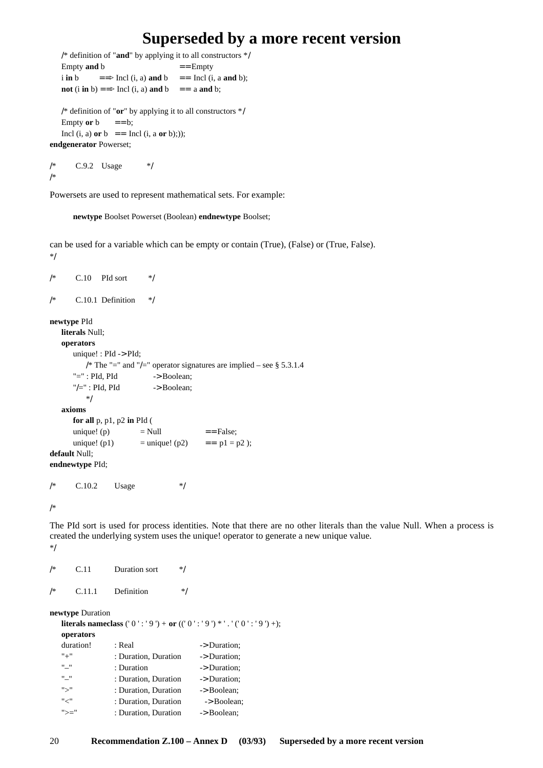```
/* definition of "and" by applying it to all constructors */
   Empty and b = = Empty
   i in b = => Incl (i, a) and b == Incl (i, a and b);
   not (i in b) = = > Incl (i, a) and b = = a and b;
   /* definition of "or" by applying it to all constructors */
   Empty or b = b;
   Incl (i, a) or b = Incl (i, a or b);));
endgenerator Powerset;
```

```
/* C.9.2 Usage */
/*
```
Powersets are used to represent mathematical sets. For example:

**newtype** Boolset Powerset (Boolean) **endnewtype** Boolset;

can be used for a variable which can be empty or contain (True), (False) or (True, False). \*/

```
/* C.10 PId sort */
/* C.10.1 Definition */
newtype PId
   literals Null;
  operators
     unique! : PId -> PId;
        /* The "=" and "/=" operator signatures are implied – see § 5.3.1.4
      "=": PId, PId \rightarrow Boolean;
      "/\equiv" : PId, PId \longrightarrow Boolean;*/
  axioms
     for all p, p1, p2 in PId (
     unique! (p) = Null = False;
     unique! (p1) = unique! (p2) = = p1 = p2);
default Null;
endnewtype PId;
/* C.10.2 Usage */
```
/\*

The PId sort is used for process identities. Note that there are no other literals than the value Null. When a process is created the underlying system uses the unique! operator to generate a new unique value. \*/

| /*                                                                                                        | C.11      | Duration sort        | */           |  |  |  |  |  |
|-----------------------------------------------------------------------------------------------------------|-----------|----------------------|--------------|--|--|--|--|--|
| /*                                                                                                        | C.11.1    | Definition           | */           |  |  |  |  |  |
| newtype Duration<br><b>literals nameclass</b> ('0': '9') + or (('0': '9') *'.'('0': '9') +);<br>operators |           |                      |              |  |  |  |  |  |
|                                                                                                           | duration! | : Real               | -> Duration: |  |  |  |  |  |
| $" +"$                                                                                                    |           | : Duration, Duration | -> Duration; |  |  |  |  |  |
| H H                                                                                                       |           | : Duration           | -> Duration: |  |  |  |  |  |
| "_"                                                                                                       |           | : Duration, Duration | -> Duration; |  |  |  |  |  |

">" : Duration, Duration -> Boolean; "<" : Duration, Duration -> Boolean; ">=" : Duration, Duration -> Boolean;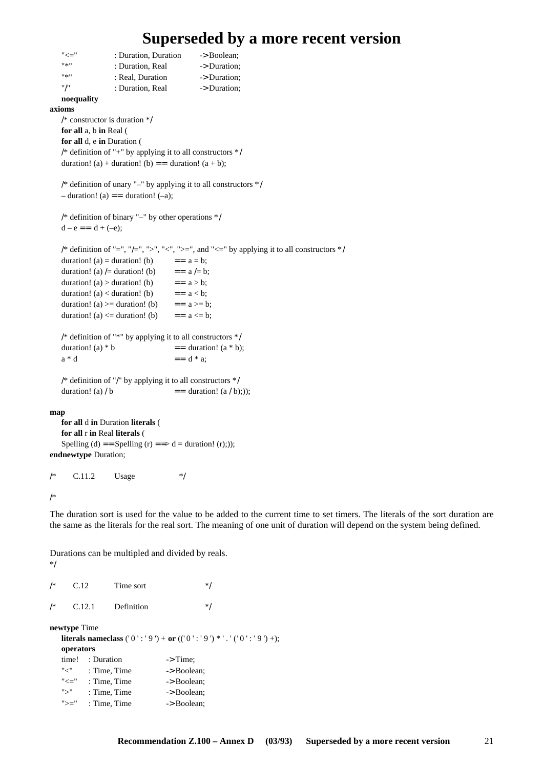```
"<=" : Duration, Duration -> Boolean;
   "*" : Duration, Real -> Duration;
   "*" : Real, Duration -> Duration;
   "/" : Duration, Real -> Duration;
   noequality
axioms
   /* constructor is duration */
   for all a, b in Real (
   for all d, e in Duration (
   /* definition of "+" by applying it to all constructors */
   duration! (a) + duration! (b) == duration! (a + b);
   /* definition of unary "–" by applying it to all constructors */
   - duration! (a) = duration! (-a);
   /* definition of binary "–" by other operations */
   d - e = d + (-e);
   /* definition of "=", "/=", ">", "<", ">=", and "<=" by applying it to all constructors */
   duration! (a) = duration! (b) = = a = b;
   duration! (a) /= duration! (b) = = a /= b;
   duration! (a) > duration! (b) = = a > b;
   duration! (a) < duration! (b) = = a < b;
   duration! (a) >= duration! (b) == a>= b;
   duration! (a) \leq duration! (b) = = a \leq b;
   /* definition of "*" by applying it to all constructors */
   duration! (a) * b = duration! (a * b);
   a * d = d * a;
   /* definition of "/" by applying it to all constructors */
   duration! (a) / b = duration! (a / b);));
map
   for all d in Duration literals (
   for all r in Real literals (
   Spelling (d) = = Spelling (r) = = > d = duration! (r);));
endnewtype Duration;
```
 $/*$  C.11.2 Usage \*/

/\*

\*/

The duration sort is used for the value to be added to the current time to set timers. The literals of the sort duration are the same as the literals for the real sort. The meaning of one unit of duration will depend on the system being defined.

Durations can be multipled and divided by reals.

| /*                                                                                                 | C.12   |                       | Time sort  |                     | */          |  |  |  |
|----------------------------------------------------------------------------------------------------|--------|-----------------------|------------|---------------------|-------------|--|--|--|
| /*                                                                                                 | C.12.1 |                       | Definition |                     | */          |  |  |  |
| newtype Time<br><b>literals nameclass</b> ('0':'9') + or (('0':'9') *'.'('0':'9') +);<br>operators |        |                       |            |                     |             |  |  |  |
|                                                                                                    |        | time! : Duration      |            | $\rightarrow$ Time; |             |  |  |  |
|                                                                                                    | "<"    | : Time, Time          |            | -> Boolean:         |             |  |  |  |
|                                                                                                    |        | $"<="$ : Time, Time   |            | -> Boolean:         |             |  |  |  |
|                                                                                                    | ">'    | : Time, Time          |            |                     | -> Boolean: |  |  |  |
|                                                                                                    |        | " $>=$ ": Time, Time" |            | -> Boolean:         |             |  |  |  |